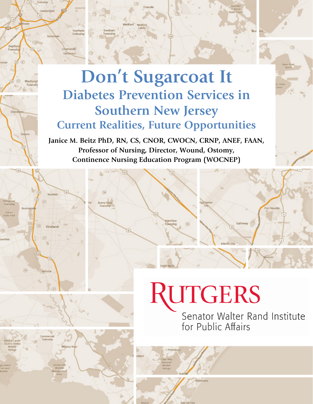# **Don't Sugarcoat It Diabetes Prevention Services in Southern New Jersey Current Realities, Future Opportunities**

**Janice M. Beitz PhD, RN, CS, CNOR, CWOCN, CRNP, ANEF, FAAN, Professor of Nursing, Director, Wound, Ostomy, Continence Nursing Education Program (WOCNEP)**

# RUTGERS

Senator Walter Rand Institute for Public Affairs

 $\circledcirc$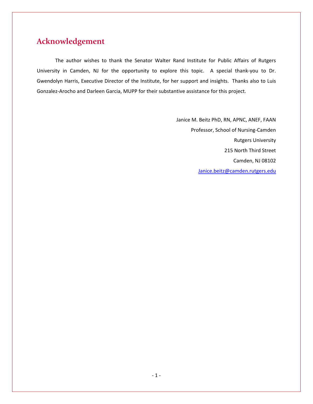# **Acknowledgement**

The author wishes to thank the Senator Walter Rand Institute for Public Affairs of Rutgers University in Camden, NJ for the opportunity to explore this topic. A special thank-you to Dr. Gwendolyn Harris, Executive Director of the Institute, for her support and insights. Thanks also to Luis Gonzalez-Arocho and Darleen Garcia, MUPP for their substantive assistance for this project.

> Janice M. Beitz PhD, RN, APNC, ANEF, FAAN Professor, School of Nursing-Camden Rutgers University 215 North Third Street Camden, NJ 08102 [Janice.beitz@camden.rutgers.edu](mailto:Janice.beitz@camden.rutgers.edu)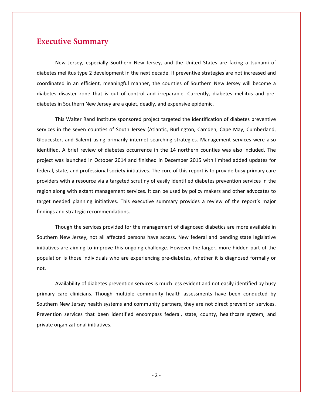# **Executive Summary**

New Jersey, especially Southern New Jersey, and the United States are facing a tsunami of diabetes mellitus type 2 development in the next decade. If preventive strategies are not increased and coordinated in an efficient, meaningful manner, the counties of Southern New Jersey will become a diabetes disaster zone that is out of control and irreparable. Currently, diabetes mellitus and prediabetes in Southern New Jersey are a quiet, deadly, and expensive epidemic.

This Walter Rand Institute sponsored project targeted the identification of diabetes preventive services in the seven counties of South Jersey (Atlantic, Burlington, Camden, Cape May, Cumberland, Gloucester, and Salem) using primarily internet searching strategies. Management services were also identified. A brief review of diabetes occurrence in the 14 northern counties was also included. The project was launched in October 2014 and finished in December 2015 with limited added updates for federal, state, and professional society initiatives. The core of this report is to provide busy primary care providers with a resource via a targeted scrutiny of easily identified diabetes prevention services in the region along with extant management services. It can be used by policy makers and other advocates to target needed planning initiatives. This executive summary provides a review of the report's major findings and strategic recommendations.

Though the services provided for the management of diagnosed diabetics are more available in Southern New Jersey, not all affected persons have access. New federal and pending state legislative initiatives are aiming to improve this ongoing challenge. However the larger, more hidden part of the population is those individuals who are experiencing pre-diabetes, whether it is diagnosed formally or not.

Availability of diabetes prevention services is much less evident and not easily identified by busy primary care clinicians. Though multiple community health assessments have been conducted by Southern New Jersey health systems and community partners, they are not direct prevention services. Prevention services that been identified encompass federal, state, county, healthcare system, and private organizational initiatives.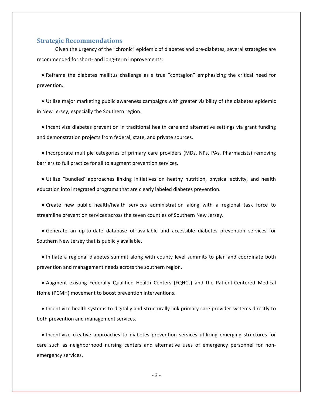#### **Strategic Recommendations**

Given the urgency of the "chronic" epidemic of diabetes and pre-diabetes, several strategies are recommended for short- and long-term improvements:

• Reframe the diabetes mellitus challenge as a true "contagion" emphasizing the critical need for prevention.

• Utilize major marketing public awareness campaigns with greater visibility of the diabetes epidemic in New Jersey, especially the Southern region.

• Incentivize diabetes prevention in traditional health care and alternative settings via grant funding and demonstration projects from federal, state, and private sources.

• Incorporate multiple categories of primary care providers (MDs, NPs, PAs, Pharmacists) removing barriers to full practice for all to augment prevention services.

• Utilize "bundled' approaches linking initiatives on heathy nutrition, physical activity, and health education into integrated programs that are clearly labeled diabetes prevention.

• Create new public health/health services administration along with a regional task force to streamline prevention services across the seven counties of Southern New Jersey.

• Generate an up-to-date database of available and accessible diabetes prevention services for Southern New Jersey that is publicly available.

• Initiate a regional diabetes summit along with county level summits to plan and coordinate both prevention and management needs across the southern region.

• Augment existing Federally Qualified Health Centers (FQHCs) and the Patient-Centered Medical Home (PCMH) movement to boost prevention interventions.

• Incentivize health systems to digitally and structurally link primary care provider systems directly to both prevention and management services.

• Incentivize creative approaches to diabetes prevention services utilizing emerging structures for care such as neighborhood nursing centers and alternative uses of emergency personnel for nonemergency services.

- 3 -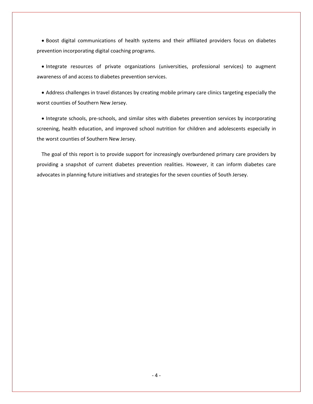• Boost digital communications of health systems and their affiliated providers focus on diabetes prevention incorporating digital coaching programs.

• Integrate resources of private organizations (universities, professional services) to augment awareness of and access to diabetes prevention services.

• Address challenges in travel distances by creating mobile primary care clinics targeting especially the worst counties of Southern New Jersey.

• Integrate schools, pre-schools, and similar sites with diabetes prevention services by incorporating screening, health education, and improved school nutrition for children and adolescents especially in the worst counties of Southern New Jersey.

The goal of this report is to provide support for increasingly overburdened primary care providers by providing a snapshot of current diabetes prevention realities. However, it can inform diabetes care advocates in planning future initiatives and strategies for the seven counties of South Jersey.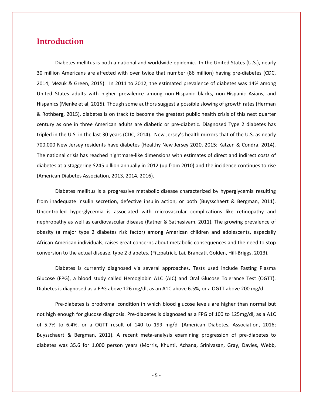# **Introduction**

Diabetes mellitus is both a national and worldwide epidemic. In the United States (U.S.), nearly 30 million Americans are affected with over twice that number (86 million) having pre-diabetes (CDC, 2014; Mezuk & Green, 2015). In 2011 to 2012, the estimated prevalence of diabetes was 14% among United States adults with higher prevalence among non-Hispanic blacks, non-Hispanic Asians, and Hispanics (Menke et al, 2015). Though some authors suggest a possible slowing of growth rates (Herman & Rothberg, 2015), diabetes is on track to become the greatest public health crisis of this next quarter century as one in three American adults are diabetic or pre-diabetic. Diagnosed Type 2 diabetes has tripled in the U.S. in the last 30 years (CDC, 2014). New Jersey's health mirrors that of the U.S. as nearly 700,000 New Jersey residents have diabetes (Healthy New Jersey 2020, 2015; Katzen & Condra, 2014). The national crisis has reached nightmare-like dimensions with estimates of direct and indirect costs of diabetes at a staggering \$245 billion annually in 2012 (up from 2010) and the incidence continues to rise (American Diabetes Association, 2013, 2014, 2016).

Diabetes mellitus is a progressive metabolic disease characterized by hyperglycemia resulting from inadequate insulin secretion, defective insulin action, or both (Buysschaert & Bergman, 2011). Uncontrolled hyperglycemia is associated with microvascular complications like retinopathy and nephropathy as well as cardiovascular disease (Ratner & Sathasivam, 2011). The growing prevalence of obesity (a major type 2 diabetes risk factor) among American children and adolescents, especially African-American individuals, raises great concerns about metabolic consequences and the need to stop conversion to the actual disease, type 2 diabetes. (Fitzpatrick, Lai, Brancati, Golden, Hill-Briggs, 2013).

Diabetes is currently diagnosed via several approaches. Tests used include Fasting Plasma Glucose (FPG), a blood study called Hemoglobin A1C (AIC) and Oral Glucose Tolerance Test (OGTT). Diabetes is diagnosed as a FPG above 126 mg/dl, as an A1C above 6.5%, or a OGTT above 200 mg/d.

Pre-diabetes is prodromal condition in which blood glucose levels are higher than normal but not high enough for glucose diagnosis. Pre-diabetes is diagnosed as a FPG of 100 to 125mg/dl, as a A1C of 5.7% to 6.4%, or a OGTT result of 140 to 199 mg/dl (American Diabetes, Association, 2016; Buysschaert & Bergman, 2011). A recent meta-analysis examining progression of pre-diabetes to diabetes was 35.6 for 1,000 person years (Morris, Khunti, Achana, Srinivasan, Gray, Davies, Webb,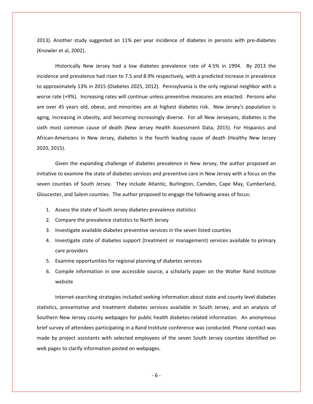2013). Another study suggested an 11% per year incidence of diabetes in persons with pre-diabetes (Knowler et al, 2002).

Historically New Jersey had a low diabetes prevalence rate of 4.5% in 1994. By 2013 the incidence and prevalence had risen to 7.5 and 8.9% respectively, with a predicted increase in prevalence to approximately 13% in 2015 (Diabetes 2025, 2012). Pennsylvania is the only regional neighbor with a worse rate (+9%). Increasing rates will continue unless preventive measures are enacted. Persons who are over 45 years old, obese, and minorities are at highest diabetes risk. New Jersey's population is aging, increasing in obesity, and becoming increasingly diverse. For all New Jerseyans, diabetes is the sixth most common cause of death (New Jersey Health Assessment Data, 2015). For Hispanics and African-Americans in New Jersey, diabetes is the fourth leading cause of death (Healthy New Jersey 2020, 2015).

Given the expanding challenge of diabetes prevalence in New Jersey, the author proposed an initiative to examine the state of diabetes services and preventive care in New Jersey with a focus on the seven counties of South Jersey. They include Atlantic, Burlington, Camden, Cape May, Cumberland, Gloucester, and Salem counties. The author proposed to engage the following areas of focus:

- 1. Assess the state of South Jersey diabetes prevalence statistics
- 2. Compare the prevalence statistics to North Jersey
- 3. Investigate available diabetes preventive services in the seven listed counties
- 4. Investigate state of diabetes support (treatment or management) services available to primary care providers
- 5. Examine opportunities for regional planning of diabetes services
- 6. Compile information in one accessible source, a scholarly paper on the Walter Rand Institute website

Internet-searching strategies included seeking information about state and county level diabetes statistics, preventative and treatment diabetes services available in South Jersey, and an analysis of Southern New Jersey county webpages for public health diabetes-related information. An anonymous brief survey of attendees participating in a Rand Institute conference was conducted. Phone contact was made by project assistants with selected employees of the seven South Jersey counties identified on web pages to clarify information posted on webpages.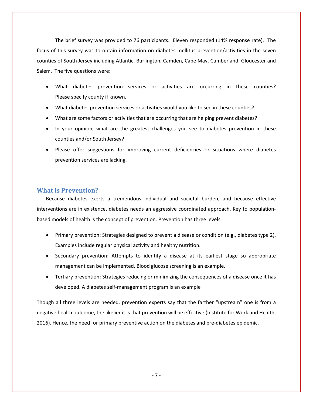The brief survey was provided to 76 participants. Eleven responded (14% response rate). The focus of this survey was to obtain information on diabetes mellitus prevention/activities in the seven counties of South Jersey including Atlantic, Burlington, Camden, Cape May, Cumberland, Gloucester and Salem. The five questions were:

- What diabetes prevention services or activities are occurring in these counties? Please specify county if known.
- What diabetes prevention services or activities would you like to see in these counties?
- What are some factors or activities that are occurring that are helping prevent diabetes?
- In your opinion, what are the greatest challenges you see to diabetes prevention in these counties and/or South Jersey?
- Please offer suggestions for improving current deficiencies or situations where diabetes prevention services are lacking.

#### **What is Prevention?**

Because diabetes exerts a tremendous individual and societal burden, and because effective interventions are in existence, diabetes needs an aggressive coordinated approach. Key to populationbased models of health is the concept of prevention. Prevention has three levels:

- Primary prevention: Strategies designed to prevent a disease or condition (e.g., diabetes type 2). Examples include regular physical activity and healthy nutrition.
- Secondary prevention: Attempts to identify a disease at its earliest stage so appropriate management can be implemented. Blood glucose screening is an example.
- Tertiary prevention: Strategies reducing or minimizing the consequences of a disease once it has developed. A diabetes self-management program is an example

Though all three levels are needed, prevention experts say that the farther "upstream" one is from a negative health outcome, the likelier it is that prevention will be effective (Institute for Work and Health, 2016). Hence, the need for primary preventive action on the diabetes and pre-diabetes epidemic.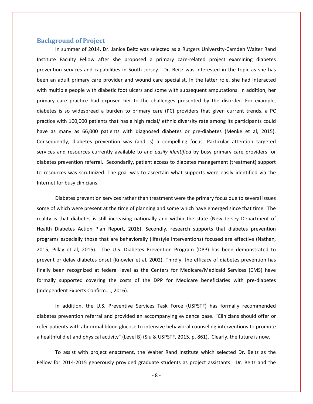#### **Background of Project**

In summer of 2014, Dr. Janice Beitz was selected as a Rutgers University-Camden Walter Rand Institute Faculty Fellow after she proposed a primary care-related project examining diabetes prevention services and capabilities in South Jersey. Dr. Beitz was interested in the topic as she has been an adult primary care provider and wound care specialist. In the latter role, she had interacted with multiple people with diabetic foot ulcers and some with subsequent amputations. In addition, her primary care practice had exposed her to the challenges presented by the disorder. For example, diabetes is so widespread a burden to primary care (PC) providers that given current trends, a PC practice with 100,000 patients that has a high racial/ ethnic diversity rate among its participants could have as many as 66,000 patients with diagnosed diabetes or pre-diabetes (Menke et al, 2015). Consequently, diabetes prevention was (and is) a compelling focus. Particular attention targeted services and resources currently available to and *easily identified* by busy primary care providers for diabetes prevention referral. Secondarily, patient access to diabetes management (treatment) support to resources was scrutinized. The goal was to ascertain what supports were easily identified via the Internet for busy clinicians.

Diabetes prevention services rather than treatment were the primary focus due to several issues some of which were present at the time of planning and some which have emerged since that time. The reality is that diabetes is still increasing nationally and within the state (New Jersey Department of Health Diabetes Action Plan Report, 2016). Secondly, research supports that diabetes prevention programs especially those that are behaviorally (lifestyle interventions) focused are effective (Nathan, 2015; Pillay et al, 2015). The U.S. Diabetes Prevention Program (DPP) has been demonstrated to prevent or delay diabetes onset (Knowler et al, 2002). Thirdly, the efficacy of diabetes prevention has finally been recognized at federal level as the Centers for Medicare/Medicaid Services (CMS) have formally supported covering the costs of the DPP for Medicare beneficiaries with pre-diabetes (Independent Experts Confirm…., 2016).

In addition, the U.S. Preventive Services Task Force (USPSTF) has formally recommended diabetes prevention referral and provided an accompanying evidence base. "Clinicians should offer or refer patients with abnormal blood glucose to intensive behavioral counseling interventions to promote a healthful diet and physical activity" (Level B) (Siu & USPSTF, 2015, p. 861). Clearly, the future is now.

To assist with project enactment, the Walter Rand Institute which selected Dr. Beitz as the Fellow for 2014-2015 generously provided graduate students as project assistants. Dr. Beitz and the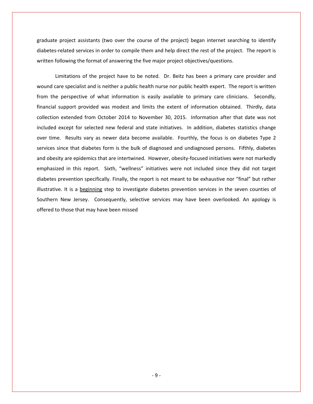graduate project assistants (two over the course of the project) began internet searching to identify diabetes-related services in order to compile them and help direct the rest of the project. The report is written following the format of answering the five major project objectives/questions.

Limitations of the project have to be noted. Dr. Beitz has been a primary care provider and wound care specialist and is neither a public health nurse nor public health expert. The report is written from the perspective of what information is easily available to primary care clinicians. Secondly, financial support provided was modest and limits the extent of information obtained. Thirdly, data collection extended from October 2014 to November 30, 2015. Information after that date was not included except for selected new federal and state initiatives. In addition, diabetes statistics change over time. Results vary as newer data become available. Fourthly, the focus is on diabetes Type 2 services since that diabetes form is the bulk of diagnosed and undiagnosed persons. Fifthly, diabetes and obesity are epidemics that are intertwined. However, obesity-focused initiatives were not markedly emphasized in this report. Sixth, "wellness" initiatives were not included since they did not target diabetes prevention specifically. Finally, the report is not meant to be exhaustive nor "final" but rather illustrative. It is a beginning step to investigate diabetes prevention services in the seven counties of Southern New Jersey. Consequently, selective services may have been overlooked. An apology is offered to those that may have been missed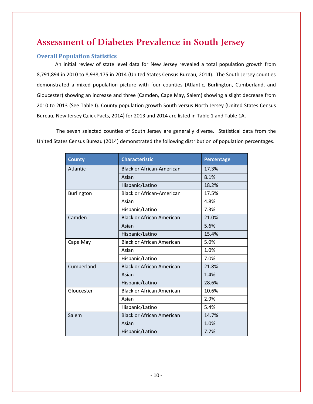# **Assessment of Diabetes Prevalence in South Jersey**

#### **Overall Population Statistics**

An initial review of state level data for New Jersey revealed a total population growth from 8,791,894 in 2010 to 8,938,175 in 2014 (United States Census Bureau, 2014). The South Jersey counties demonstrated a mixed population picture with four counties (Atlantic, Burlington, Cumberland, and Gloucester) showing an increase and three (Camden, Cape May, Salem) showing a slight decrease from 2010 to 2013 (See Table I). County population growth South versus North Jersey (United States Census Bureau, New Jersey Quick Facts, 2014) for 2013 and 2014 are listed in Table 1 and Table 1A.

The seven selected counties of South Jersey are generally diverse. Statistical data from the United States Census Bureau (2014) demonstrated the following distribution of population percentages.

| <b>County</b> | <b>Characteristic</b>            | <b>Percentage</b> |
|---------------|----------------------------------|-------------------|
| Atlantic      | <b>Black or African-American</b> | 17.3%             |
|               | Asian                            | 8.1%              |
|               | Hispanic/Latino                  | 18.2%             |
| Burlington    | <b>Black or African-American</b> | 17.5%             |
|               | Asian                            | 4.8%              |
|               | Hispanic/Latino                  | 7.3%              |
| Camden        | <b>Black or African American</b> | 21.0%             |
|               | Asian                            | 5.6%              |
|               | Hispanic/Latino                  | 15.4%             |
| Cape May      | <b>Black or African American</b> | 5.0%              |
|               | Asian                            | 1.0%              |
|               | Hispanic/Latino                  | 7.0%              |
| Cumberland    | <b>Black or African American</b> | 21.8%             |
|               | Asian                            | 1.4%              |
|               | Hispanic/Latino                  | 28.6%             |
| Gloucester    | <b>Black or African American</b> | 10.6%             |
|               | Asian                            | 2.9%              |
|               | Hispanic/Latino                  | 5.4%              |
| Salem         | <b>Black or African American</b> | 14.7%             |
|               | Asian                            | 1.0%              |
|               | Hispanic/Latino                  | 7.7%              |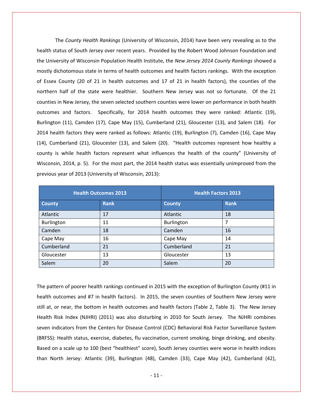The *County Health Rankings* (University of Wisconsin, 2014) have been very revealing as to the health status of South Jersey over recent years. Provided by the Robert Wood Johnson Foundation and the University of Wisconsin Population Health Institute, the *New Jersey 2014 County Rankings* showed a mostly dichotomous state in terms of health outcomes and health factors rankings. With the exception of Essex County (20 of 21 in health outcomes and 17 of 21 in health factors), the counties of the northern half of the state were healthier. Southern New Jersey was not so fortunate. Of the 21 counties in New Jersey, the seven selected southern counties were lower on performance in both health outcomes and factors. Specifically, for 2014 health outcomes they were ranked: Atlantic (19), Burlington (11), Camden (17), Cape May (15), Cumberland (21), Gloucester (13), and Salem (18). For 2014 health factors they were ranked as follows: Atlantic (19), Burlington (7), Camden (16), Cape May (14), Cumberland (21), Gloucester (13), and Salem (20). "Health outcomes represent how healthy a county is while health factors represent what influences the health of the county" (University of Wisconsin, 2014, p. 5). For the most part, the 2014 health status was essentially unimproved from the previous year of 2013 (University of Wisconsin, 2013):

| <b>Health Outcomes 2013</b> |             | <b>Health Factors 2013</b> |             |
|-----------------------------|-------------|----------------------------|-------------|
| <b>County</b>               | <b>Rank</b> | <b>County</b>              | <b>Rank</b> |
| Atlantic                    | 17          | Atlantic                   | 18          |
| Burlington                  | 11          | Burlington                 | 7           |
| Camden                      | 18          | Camden                     | 16          |
| Cape May                    | 16          | Cape May                   | 14          |
| Cumberland                  | 21          | Cumberland                 | 21          |
| Gloucester                  | 13          | Gloucester                 | 13          |
| Salem                       | 20          | Salem                      | 20          |

The pattern of poorer health rankings continued in 2015 with the exception of Burlington County (#11 in health outcomes and #7 in health factors). In 2015, the seven counties of Southern New Jersey were still at, or near, the bottom in health outcomes and health factors (Table 2, Table 3). The New Jersey Health Risk Index (NJHRI) (2011) was also disturbing in 2010 for South Jersey. The NJHRI combines seven indicators from the Centers for Disease Control (CDC) Behavioral Risk Factor Surveillance System (BRFSS): Health status, exercise, diabetes, flu vaccination, current smoking, binge drinking, and obesity. Based on a scale up to 100 (best "healthiest" score), South Jersey counties were worse in health indices than North Jersey: Atlantic (39), Burlington (48), Camden (33), Cape May (42), Cumberland (42),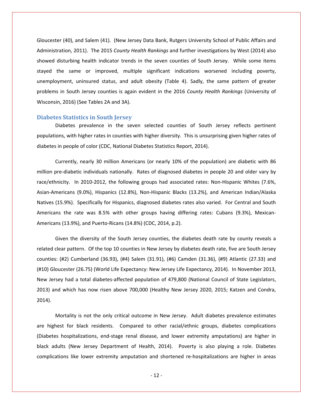Gloucester (40), and Salem (41). (New Jersey Data Bank, Rutgers University School of Public Affairs and Administration, 2011). The 2015 *County Health Rankings* and further investigations by West (2014) also showed disturbing health indicator trends in the seven counties of South Jersey. While some items stayed the same or improved, multiple significant indications worsened including poverty, unemployment, uninsured status, and adult obesity (Table 4). Sadly, the same pattern of greater problems in South Jersey counties is again evident in the 2016 *County Health Rankings* (University of Wisconsin, 2016) (See Tables 2A and 3A).

#### **Diabetes Statistics in South Jersey**

Diabetes prevalence in the seven selected counties of South Jersey reflects pertinent populations, with higher rates in counties with higher diversity. This is unsurprising given higher rates of diabetes in people of color (CDC, National Diabetes Statistics Report, 2014).

Currently, nearly 30 million Americans (or nearly 10% of the population) are diabetic with 86 million pre-diabetic individuals nationally. Rates of diagnosed diabetes in people 20 and older vary by race/ethnicity. In 2010-2012, the following groups had associated rates: Non-Hispanic Whites (7.6%, Asian-Americans (9.0%), Hispanics (12.8%), Non-Hispanic Blacks (13.2%), and American Indian/Alaska Natives (15.9%). Specifically for Hispanics, diagnosed diabetes rates also varied. For Central and South Americans the rate was 8.5% with other groups having differing rates: Cubans (9.3%), Mexican-Americans (13.9%), and Puerto-Ricans (14.8%) (CDC, 2014, p.2).

Given the diversity of the South Jersey counties, the diabetes death rate by county reveals a related clear pattern. Of the top 10 counties in New Jersey by diabetes death rate, five are South Jersey counties: (#2) Cumberland (36.93), (#4) Salem (31.91), (#6) Camden (31.36), (#9) Atlantic (27.33) and (#10) Gloucester (26.75) (World Life Expectancy: New Jersey Life Expectancy, 2014). In November 2013, New Jersey had a total diabetes-affected population of 479,800 (National Council of State Legislators, 2013) and which has now risen above 700,000 (Healthy New Jersey 2020, 2015; Katzen and Condra, 2014).

Mortality is not the only critical outcome in New Jersey. Adult diabetes prevalence estimates are highest for black residents. Compared to other racial/ethnic groups, diabetes complications (Diabetes hospitalizations, end-stage renal disease, and lower extremity amputations) are higher in black adults (New Jersey Department of Health, 2014). Poverty is also playing a role. Diabetes complications like lower extremity amputation and shortened re-hospitalizations are higher in areas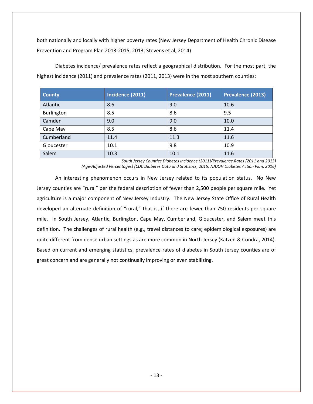both nationally and locally with higher poverty rates (New Jersey Department of Health Chronic Disease Prevention and Program Plan 2013-2015, 2013; Stevens et al, 2014)

| <b>County</b> | Incidence (2011) | Prevalence (2011) | Prevalence (2013) |
|---------------|------------------|-------------------|-------------------|
| Atlantic      | 8.6              | 9.0               | 10.6              |
| Burlington    | 8.5              | 8.6               | 9.5               |
| Camden        | 9.0              | 9.0               | 10.0              |
| Cape May      | 8.5              | 8.6               | 11.4              |
| Cumberland    | 11.4             | 11.3              | 11.6              |
| Gloucester    | 10.1             | 9.8               | 10.9              |
| Salem         | 10.3             | 10.1              | 11.6              |

Diabetes incidence/ prevalence rates reflect a geographical distribution. For the most part, the highest incidence (2011) and prevalence rates (2011, 2013) were in the most southern counties:

> *South Jersey Counties Diabetes Incidence (2011)/Prevalence Rates (2011 and 2013) (Age-Adjusted Percentages) (CDC Diabetes Data and Statistics, 2015; NJDOH Diabetes Action Plan, 2016)*

An interesting phenomenon occurs in New Jersey related to its population status. No New Jersey counties are "rural" per the federal description of fewer than 2,500 people per square mile. Yet agriculture is a major component of New Jersey Industry. The New Jersey State Office of Rural Health developed an alternate definition of "rural," that is, if there are fewer than 750 residents per square mile. In South Jersey, Atlantic, Burlington, Cape May, Cumberland, Gloucester, and Salem meet this definition. The challenges of rural health (e.g., travel distances to care; epidemiological exposures) are quite different from dense urban settings as are more common in North Jersey (Katzen & Condra, 2014). Based on current and emerging statistics, prevalence rates of diabetes in South Jersey counties are of great concern and are generally not continually improving or even stabilizing.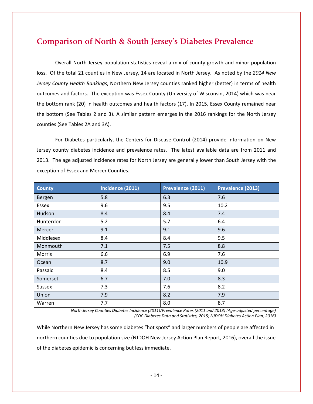# **Comparison of North & South Jersey's Diabetes Prevalence**

Overall North Jersey population statistics reveal a mix of county growth and minor population loss. Of the total 21 counties in New Jersey, 14 are located in North Jersey. As noted by the *2014 New Jersey County Health Rankings*, Northern New Jersey counties ranked higher (better) in terms of health outcomes and factors. The exception was Essex County (University of Wisconsin, 2014) which was near the bottom rank (20) in health outcomes and health factors (17). In 2015, Essex County remained near the bottom (See Tables 2 and 3). A similar pattern emerges in the 2016 rankings for the North Jersey counties (See Tables 2A and 3A).

For Diabetes particularly, the Centers for Disease Control (2014) provide information on New Jersey county diabetes incidence and prevalence rates. The latest available data are from 2011 and 2013. The age adjusted incidence rates for North Jersey are generally lower than South Jersey with the exception of Essex and Mercer Counties.

| County    | Incidence (2011) | Prevalence (2011) | Prevalence (2013) |
|-----------|------------------|-------------------|-------------------|
| Bergen    | 5.8              | 6.3               | 7.6               |
| Essex     | 9.6              | 9.5               | 10.2              |
| Hudson    | 8.4              | 8.4               | 7.4               |
| Hunterdon | 5.2              | 5.7               | 6.4               |
| Mercer    | 9.1              | 9.1               | 9.6               |
| Middlesex | 8.4              | 8.4               | 9.5               |
| Monmouth  | 7.1              | 7.5               | 8.8               |
| Morris    | 6.6              | 6.9               | 7.6               |
| Ocean     | 8.7              | 9.0               | 10.9              |
| Passaic   | 8.4              | 8.5               | 9.0               |
| Somerset  | 6.7              | 7.0               | 8.3               |
| Sussex    | 7.3              | 7.6               | 8.2               |
| Union     | 7.9              | 8.2               | 7.9               |
| Warren    | 7.7              | 8.0               | 8.7               |

*North Jersey Counties Diabetes Incidence (2011)/Prevalence Rates (2011 and 2013) (Age-adjusted percentage) (CDC Diabetes Data and Statistics, 2015; NJDOH Diabetes Action Plan, 2016)*

While Northern New Jersey has some diabetes "hot spots" and larger numbers of people are affected in northern counties due to population size (NJDOH New Jersey Action Plan Report, 2016), overall the issue of the diabetes epidemic is concerning but less immediate.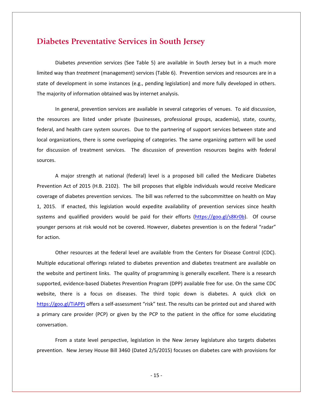# **Diabetes Preventative Services in South Jersey**

Diabetes *prevention* services (See Table 5) are available in South Jersey but in a much more limited way than *treatment* (management) services (Table 6). Prevention services and resources are in a state of development in some instances (e.g., pending legislation) and more fully developed in others. The majority of information obtained was by internet analysis.

In general, prevention services are available in several categories of venues. To aid discussion, the resources are listed under private (businesses, professional groups, academia), state, county, federal, and health care system sources. Due to the partnering of support services between state and local organizations, there is some overlapping of categories. The same organizing pattern will be used for discussion of treatment services. The discussion of prevention resources begins with federal sources.

A major strength at national (federal) level is a proposed bill called the Medicare Diabetes Prevention Act of 2015 (H.B. 2102). The bill proposes that eligible individuals would receive Medicare coverage of diabetes prevention services. The bill was referred to the subcommittee on health on May 1, 2015. If enacted, this legislation would expedite availability of prevention services since health systems and qualified providers would be paid for their efforts [\(https://goo.gl/s8Kr0b\)](https://goo.gl/s8Kr0b). Of course younger persons at risk would not be covered. However, diabetes prevention is on the federal "radar" for action.

Other resources at the federal level are available from the Centers for Disease Control (CDC). Multiple educational offerings related to diabetes prevention and diabetes treatment are available on the website and pertinent links. The quality of programming is generally excellent. There is a research supported, evidence-based Diabetes Prevention Program (DPP) available free for use. On the same CDC website, there is a focus on diseases. The third topic down is diabetes. A quick click on <https://goo.gl/TiAPPj> offers a self-assessment "risk" test. The results can be printed out and shared with a primary care provider (PCP) or given by the PCP to the patient in the office for some elucidating conversation.

From a state level perspective, legislation in the New Jersey legislature also targets diabetes prevention. New Jersey House Bill 3460 (Dated 2/5/2015) focuses on diabetes care with provisions for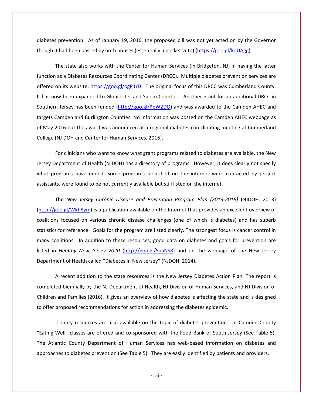diabetes prevention. As of January 19, 2016, the proposed bill was not yet acted on by the Governor though it had been passed by both houses (essentially a pocket veto) [\(https://goo.gl/koUAgg\)](https://goo.gl/koUAgg).

The state also works with the Center for Human Services (in Bridgeton, NJ) in having the latter function as a Diabetes Resources Coordinating Center (DRCC). Multiple diabetes prevention services are offered on its website, [https://goo.gl/ogP1rD.](https://goo.gl/ogP1rD) The original focus of this DRCC was Cumberland County. It has now been expanded to Gloucester and Salem Counties. Another grant for an additional DRCC in Southern Jersey has been funded [\(http://goo.gl/PpW2DO\)](http://goo.gl/PpW2DO) and was awarded to the Camden AHEC and targets Camden and Burlington Counties. No information was posted on the Camden AHEC webpage as of May 2016 but the award was announced at a regional diabetes coordinating meeting at Cumberland College (NJ DOH and Center for Human Services, 2016).

For clinicians who want to know what grant programs related to diabetes are available, the New Jersey Department of Health (NJDOH) has a directory of programs. However, it does clearly not specify what programs have ended. Some programs identified on the internet were contacted by project assistants, were found to be not currently available but still listed on the internet.

The *New Jersey Chronic Disease and Prevention Program Plan (2013-2018)* (NJDOH, 2013) [\(http://goo.gl/Wkh8ym\)](http://goo.gl/Wkh8ym) is a publication available on the Internet that provides an excellent overview of coalitions focused on various chronic disease challenges (one of which is diabetes) and has superb statistics for reference. Goals for the program are listed clearly. The strongest focus is cancer control in many coalitions. In addition to these resources, good data on diabetes and goals for prevention are listed in *Healthy New Jersey 2020* [\(http://goo.gl/5aaNS8\)](http://goo.gl/5aaNS8) and on the webpage of the New Jersey Department of Health called "Diabetes in New Jersey" (NJDOH, 2014).

A recent addition to the state resources is the New Jersey Diabetes Action Plan. The report is completed biennially by the NJ Department of Health, NJ Division of Human Services, and NJ Division of Children and Families (2016). It gives an overview of how diabetes is affecting the state and is designed to offer proposed recommendations for action in addressing the diabetes epidemic.

County resources are also available on the topic of diabetes prevention. In Camden County "Eating Well" classes are offered and co-sponsored with the Food Bank of South Jersey (See Table 5). The Atlantic County Department of Human Services has web-based information on diabetes and approaches to diabetes prevention (See Table 5). They are easily identified by patients and providers.

- 16 -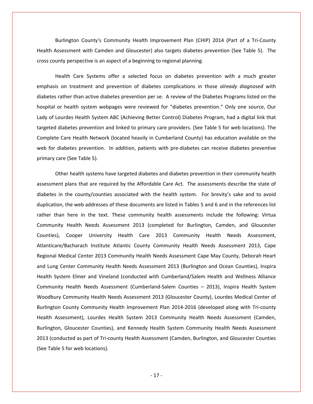Burlington County's Community Health Improvement Plan (CHIP) 2014 (Part of a Tri-County Health Assessment with Camden and Gloucester) also targets diabetes prevention (See Table 5). The cross county perspective is an aspect of a beginning to regional planning.

Health Care Systems offer a selected focus on diabetes prevention with a much greater emphasis on treatment and prevention of diabetes complications in those *already diagnosed* with diabetes rather than active diabetes prevention per se. A review of the Diabetes Programs listed on the hospital or health system webpages were reviewed for "diabetes prevention." Only one source, Our Lady of Lourdes Health System ABC (Achieving Better Control) Diabetes Program, had a digital link that targeted diabetes prevention and linked to primary care providers. (See Table 5 for web locations). The Complete Care Health Network (located heavily in Cumberland County) has education available on the web for diabetes prevention. In addition, patients with pre-diabetes can receive diabetes preventive primary care (See Table 5).

Other health systems have targeted diabetes and diabetes prevention in their community health assessment plans that are required by the Affordable Care Act. The assessments describe the state of diabetes in the county/counties associated with the health system. For brevity's sake and to avoid duplication, the web addresses of these documents are listed in Tables 5 and 6 and in the references list rather than here in the text. These community health assessments include the following: Virtua Community Health Needs Assessment 2013 (completed for Burlington, Camden, and Gloucester Counties), Cooper University Health Care 2013 Community Health Needs Assessment, Atlanticare/Bacharach Institute Atlantic County Community Health Needs Assessment 2013, Cape Regional Medical Center 2013 Community Health Needs Assessment Cape May County, Deborah Heart and Lung Center Community Health Needs Assessment 2013 (Burlington and Ocean Counties), Inspira Health System Elmer and Vineland (conducted with Cumberland/Salem Health and Wellness Alliance Community Health Needs Assessment (Cumberland-Salem Counties – 2013), Inspira Health System Woodbury Community Health Needs Assessment 2013 (Gloucester County), Lourdes Medical Center of Burlington County Community Health Improvement Plan 2014-2016 (developed along with Tri-county Health Assessment), Lourdes Health System 2013 Community Health Needs Assessment (Camden, Burlington, Gloucester Counties), and Kennedy Health System Community Health Needs Assessment 2013 (conducted as part of Tri-county Health Assessment (Camden, Burlington, and Gloucester Counties (See Table 5 for web locations).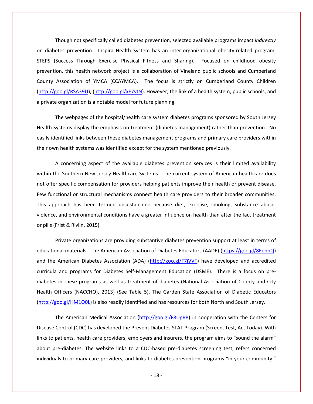Though not specifically called diabetes prevention, selected available programs impact *indirectly* on diabetes prevention. Inspira Health System has an inter-organizational obesity-related program: STEPS (Success Through Exercise Physical Fitness and Sharing). Focused on childhood obesity prevention, this health network project is a collaboration of Vineland public schools and Cumberland County Association of YMCA (CCAYMCA). The focus is strictly on Cumberland County Children [\(http://goo.gl/RSA39U\)](http://goo.gl/RSA39U), [\(http://goo.gl/xE7vtN\)](http://goo.gl/xE7vtN). However, the link of a health system, public schools, and a private organization is a notable model for future planning.

The webpages of the hospital/health care system diabetes programs sponsored by South Jersey Health Systems display the emphasis on treatment (diabetes management) rather than prevention. No easily identified links between these diabetes management programs and primary care providers within their own health systems was identified except for the system mentioned previously.

A concerning aspect of the available diabetes prevention services is their limited availability within the Southern New Jersey Healthcare Systems. The current system of American healthcare does not offer specific compensation for providers helping patients improve their health or prevent disease. Few functional or structural mechanisms connect health care providers to their broader communities. This approach has been termed unsustainable because diet, exercise, smoking, substance abuse, violence, and environmental conditions have a greater influence on health than after the fact treatment or pills (Frist & Rivlin, 2015).

Private organizations are providing substantive diabetes prevention support at least in terms of educational materials. The American Association of Diabetes Educators (AADE) [\(https://goo.gl/8EehhQ\)](https://goo.gl/8EehhQ) and the American Diabetes Association (ADA) [\(http://goo.gl/F7iVVT\)](http://goo.gl/F7iVVT) have developed and accredited curricula and programs for Diabetes Self-Management Education (DSME). There is a focus on prediabetes in these programs as well as treatment of diabetes (National Association of County and City Health Officers (NACCHO), 2013) (See Table 5). The Garden State Association of Diabetic Educators [\(http://goo.gl/HM1O0L\)](http://goo.gl/HM1O0L) is also readily identified and has resources for both North and South Jersey.

The American Medical Association [\(http://goo.gl/F8UgRB\)](http://goo.gl/F8UgRB) in cooperation with the Centers for Disease Control (CDC) has developed the Prevent Diabetes STAT Program (Screen, Test, Act Today). With links to patients, health care providers, employers and insurers, the program aims to "sound the alarm" about pre-diabetes. The website links to a CDC-based pre-diabetes screening test, refers concerned individuals to primary care providers, and links to diabetes prevention programs "in your community."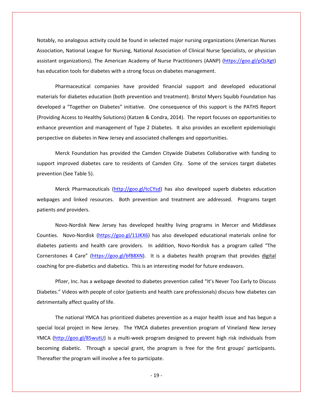Notably, no analogous activity could be found in selected major nursing organizations (American Nurses Association, National League for Nursing, National Association of Clinical Nurse Specialists, or physician assistant organizations). The American Academy of Nurse Practitioners (AANP) [\(https://goo.gl/pQsXgt\)](https://goo.gl/pQsXgt) has education tools for diabetes with a strong focus on diabetes management.

Pharmaceutical companies have provided financial support and developed educational materials for diabetes education (both prevention and treatment). Bristol Myers Squibb Foundation has developed a "Together on Diabetes" initiative. One consequence of this support is the PATHS Report (Providing Access to Healthy Solutions) (Katzen & Condra, 2014). The report focuses on opportunities to enhance prevention and management of Type 2 Diabetes. It also provides an excellent epidemiologic perspective on diabetes in New Jersey and associated challenges and opportunities.

Merck Foundation has provided the Camden Citywide Diabetes Collaborative with funding to support improved diabetes care to residents of Camden City. Some of the services target diabetes prevention (See Table 5).

Merck Pharmaceuticals [\(http://goo.gl/tcCYsd\)](http://goo.gl/tcCYsd) has also developed superb diabetes education webpages and linked resources. Both prevention and treatment are addressed. Programs target patients *and* providers.

Novo-Nordisk New Jersey has developed healthy living programs in Mercer and Middlesex Counties. Novo-Nordisk [\(https://goo.gl/11JKX6\)](https://goo.gl/11JKX6) has also developed educational materials online for diabetes patients and health care providers. In addition, Novo-Nordisk has a program called "The Cornerstones 4 Care" [\(https://goo.gl/bfB8XN\)](https://goo.gl/bfB8XN). It is a diabetes health program that provides digital coaching for pre-diabetics and diabetics. This is an interesting model for future endeavors.

Pfizer, Inc. has a webpage devoted to diabetes prevention called "It's Never Too Early to Discuss Diabetes." Videos with people of color (patients and health care professionals) discuss how diabetes can detrimentally affect quality of life.

The national YMCA has prioritized diabetes prevention as a major health issue and has begun a special local project in New Jersey. The YMCA diabetes prevention program of Vineland New Jersey YMCA [\(http://goo.gl/85wutU\)](http://goo.gl/85wutU) is a multi-week program designed to prevent high risk individuals from becoming diabetic. Through a special grant, the program is free for the first groups' participants. Thereafter the program will involve a fee to participate.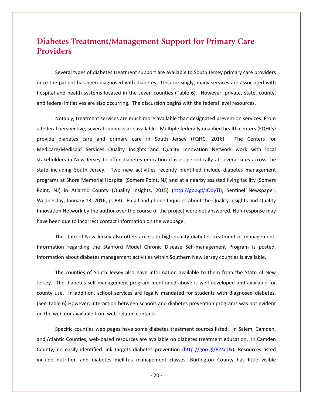# **Diabetes Treatment/Management Support for Primary Care Providers**

Several types of diabetes treatment support are available to South Jersey primary care providers once the patient has been diagnosed with diabetes. Unsurprisingly, many services are associated with hospital and health systems located in the seven counties (Table 6). However, private, state, county, and federal initiatives are also occurring. The discussion begins with the federal level resources.

Notably, treatment services are much more available than designated prevention services. From a federal perspective, several supports are available. Multiple federally qualified health centers (FQHCs) provide diabetes care and primary care in South Jersey (FQHC, 2016). The Centers for Medicare/Medicaid Services Quality Insights and Quality Innovation Network work with local stakeholders in New Jersey to offer diabetes education classes periodically at several sites across the state including South Jersey. Two new activities recently identified include diabetes management programs at Shore Memorial Hospital (Somers Point, NJ) and at a nearby assisted living facility (Somers Point, NJ) in Atlantic County (Quality Insights, 2015) [\(http://goo.gl/JOoyTi\)](http://goo.gl/JOoyTi); Sentinel Newspaper, Wednesday, January 13, 2016, p. B3). Email and phone Inquiries about the Quality Insights and Quality Innovation Network by the author over the course of the project were not answered. Non-response may have been due to incorrect contact information on the webpage.

The state of New Jersey also offers access to high quality diabetes treatment or management. Information regarding the Stanford Model Chronic Disease Self-management Program is posted. Information about diabetes management activities within Southern New Jersey counties is available.

The counties of South Jersey also have information available to them from the State of New Jersey. The diabetes self-management program mentioned above is well developed and available for county use. In addition, school services are legally mandated for students with diagnosed diabetes. (See Table 6) However, interaction between schools and diabetes prevention programs was not evident on the web nor available from web-related contacts.

Specific counties web pages have some diabetes treatment sources listed. In Salem, Camden, and Atlantic Counties, web-based resources are available on diabetes treatment education. In Camden County, no easily identified link targets diabetes prevention [\(http://goo.gl/BZ4cUx\)](http://goo.gl/BZ4cUx). Resources listed include nutrition and diabetes mellitus management classes. Burlington County has little visible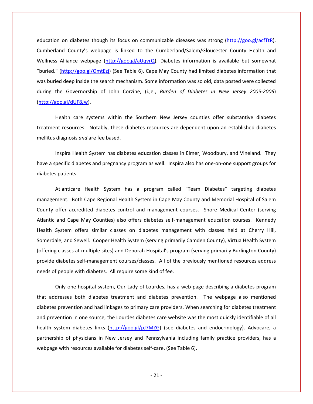education on diabetes though its focus on communicable diseases was strong [\(http://goo.gl/acfTtR\)](http://goo.gl/acfTtR). Cumberland County's webpage is linked to the Cumberland/Salem/Gloucester County Health and Wellness Alliance webpage [\(http://goo.gl/aUqvrQ\)](http://goo.gl/aUqvrQ). Diabetes information is available but somewhat "buried." [\(http://goo.gl/OmtEzj\)](http://goo.gl/OmtEzj) (See Table 6). Cape May County had limited diabetes information that was buried deep inside the search mechanism. Some information was so old, data posted were collected during the Governorship of John Corzine, (i.,e., *Burden of Diabetes in New Jersey 2005-2006*) [\(http://goo.gl/dUF8Jw\)](http://goo.gl/dUF8Jw).

Health care systems within the Southern New Jersey counties offer substantive diabetes treatment resources. Notably, these diabetes resources are dependent upon an established diabetes mellitus diagnosis *and* are fee based.

Inspira Health System has diabetes education classes in Elmer, Woodbury, and Vineland. They have a specific diabetes and pregnancy program as well. Inspira also has one-on-one support groups for diabetes patients.

Atlanticare Health System has a program called "Team Diabetes" targeting diabetes management. Both Cape Regional Health System in Cape May County and Memorial Hospital of Salem County offer accredited diabetes control and management courses. Shore Medical Center (serving Atlantic and Cape May Counties) also offers diabetes self-management education courses. Kennedy Health System offers similar classes on diabetes management with classes held at Cherry Hill, Somerdale, and Sewell. Cooper Health System (serving primarily Camden County), Virtua Health System (offering classes at multiple sites) and Deborah Hospital's program (serving primarily Burlington County) provide diabetes self-management courses/classes. All of the previously mentioned resources address needs of people with diabetes. All require some kind of fee.

Only one hospital system, Our Lady of Lourdes, has a web-page describing a diabetes program that addresses both diabetes treatment and diabetes prevention. The webpage also mentioned diabetes prevention and had linkages to primary care providers. When searching for diabetes treatment and prevention in one source, the Lourdes diabetes care website was the most quickly identifiable of all health system diabetes links [\(http://goo.gl/pJ7MZG\)](http://goo.gl/pJ7MZG) (see diabetes and endocrinology). Advocare, a partnership of physicians in New Jersey and Pennsylvania including family practice providers, has a webpage with resources available for diabetes self-care. (See Table 6).

- 21 -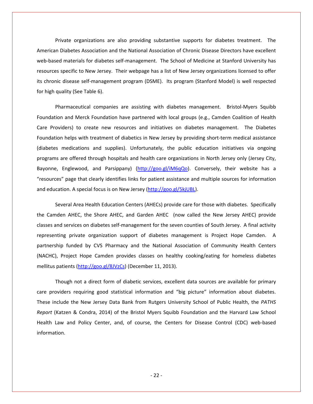Private organizations are also providing substantive supports for diabetes treatment. The American Diabetes Association and the National Association of Chronic Disease Directors have excellent web-based materials for diabetes self-management. The School of Medicine at Stanford University has resources specific to New Jersey. Their webpage has a list of New Jersey organizations licensed to offer its chronic disease self-management program (DSME). Its program (Stanford Model) is well respected for high quality (See Table 6).

Pharmaceutical companies are assisting with diabetes management. Bristol-Myers Squibb Foundation and Merck Foundation have partnered with local groups (e.g., Camden Coalition of Health Care Providers) to create new resources and initiatives on diabetes management. The Diabetes Foundation helps with treatment of diabetics in New Jersey by providing short-term medical assistance (diabetes medications and supplies). Unfortunately, the public education initiatives via ongoing programs are offered through hospitals and health care organizations in North Jersey only (Jersey City, Bayonne, Englewood, and Parsippany) [\(http://goo.gl/iM6qQo\)](http://goo.gl/iM6qQo). Conversely, their website has a "resources" page that clearly identifies links for patient assistance and multiple sources for information and education. A special focus is on New Jersey [\(http://goo.gl/5kjUBL\)](http://goo.gl/5kjUBL).

Several Area Health Education Centers (AHECs) provide care for those with diabetes. Specifically the Camden AHEC, the Shore AHEC, and Garden AHEC (now called the New Jersey AHEC) provide classes and services on diabetes self-management for the seven counties of South Jersey. A final activity representing private organization support of diabetes management is Project Hope Camden. A partnership funded by CVS Pharmacy and the National Association of Community Health Centers (NACHC), Project Hope Camden provides classes on healthy cooking/eating for homeless diabetes mellitus patients [\(http://goo.gl/8JVzCs\)](http://goo.gl/8JVzCs) (December 11, 2013).

Though not a direct form of diabetic services, excellent data sources are available for primary care providers requiring good statistical information and "big picture" information about diabetes. These include the New Jersey Data Bank from Rutgers University School of Public Health, the *PATHS Report* (Katzen & Condra, 2014) of the Bristol Myers Squibb Foundation and the Harvard Law School Health Law and Policy Center, and, of course, the Centers for Disease Control (CDC) web-based information.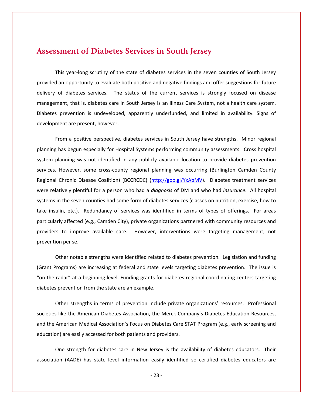# **Assessment of Diabetes Services in South Jersey**

This year-long scrutiny of the state of diabetes services in the seven counties of South Jersey provided an opportunity to evaluate both positive and negative findings and offer suggestions for future delivery of diabetes services. The status of the current services is strongly focused on disease management, that is, diabetes care in South Jersey is an Illness Care System, not a health care system. Diabetes prevention is undeveloped, apparently underfunded, and limited in availability. Signs of development are present, however.

From a positive perspective, diabetes services in South Jersey have strengths. Minor regional planning has begun especially for Hospital Systems performing community assessments. Cross hospital system planning was not identified in any publicly available location to provide diabetes prevention services. However, some cross-county regional planning was occurring (Burlington Camden County Regional Chronic Disease Coalition) (BCCRCDC) [\(http://goo.gl/YxAbMV\)](http://goo.gl/YxAbMV). Diabetes treatment services were relatively plentiful for a person who had a *diagnosis* of DM and who had *insurance*. All hospital systems in the seven counties had some form of diabetes services (classes on nutrition, exercise, how to take insulin, etc.). Redundancy of services was identified in terms of types of offerings. For areas particularly affected (e.g., Camden City), private organizations partnered with community resources and providers to improve available care. However, interventions were targeting management, not prevention per se.

Other notable strengths were identified related to diabetes prevention. Legislation and funding (Grant Programs) are increasing at federal and state levels targeting diabetes prevention. The issue is "on the radar" at a beginning level. Funding grants for diabetes regional coordinating centers targeting diabetes prevention from the state are an example.

Other strengths in terms of prevention include private organizations' resources. Professional societies like the American Diabetes Association, the Merck Company's Diabetes Education Resources, and the American Medical Association's Focus on Diabetes Care STAT Program (e.g., early screening and education) are easily accessed for both patients and providers.

One strength for diabetes care in New Jersey is the availability of diabetes educators. Their association (AADE) has state level information easily identified so certified diabetes educators are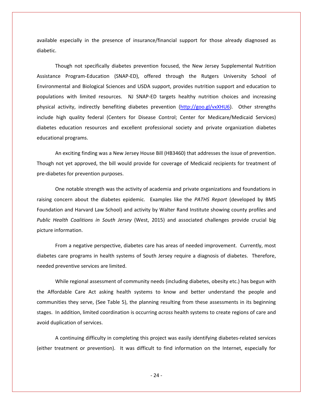available especially in the presence of insurance/financial support for those already diagnosed as diabetic.

Though not specifically diabetes prevention focused, the New Jersey Supplemental Nutrition Assistance Program-Education (SNAP-ED), offered through the Rutgers University School of Environmental and Biological Sciences and USDA support, provides nutrition support and education to populations with limited resources. NJ SNAP-ED targets healthy nutrition choices and increasing physical activity, indirectly benefiting diabetes prevention [\(http://goo.gl/vxXHU6\)](http://goo.gl/vxXHU6). Other strengths include high quality federal (Centers for Disease Control; Center for Medicare/Medicaid Services) diabetes education resources and excellent professional society and private organization diabetes educational programs.

An exciting finding was a New Jersey House Bill (HB3460) that addresses the issue of prevention. Though not yet approved, the bill would provide for coverage of Medicaid recipients for treatment of pre-diabetes for prevention purposes.

One notable strength was the activity of academia and private organizations and foundations in raising concern about the diabetes epidemic. Examples like the *PATHS Report* (developed by BMS Foundation and Harvard Law School) and activity by Walter Rand Institute showing county profiles and *Public Health Coalitions in South Jersey* (West, 2015) and associated challenges provide crucial big picture information.

From a negative perspective, diabetes care has areas of needed improvement. Currently, most diabetes care programs in health systems of South Jersey require a diagnosis of diabetes. Therefore, needed preventive services are limited.

While regional assessment of community needs (including diabetes, obesity etc.) has begun with the Affordable Care Act asking health systems to know and better understand the people and communities they serve, (See Table 5), the planning resulting from these assessments in its beginning stages. In addition, limited coordination is occurring *across* health systems to create regions of care and avoid duplication of services.

A continuing difficulty in completing this project was easily identifying diabetes-related services (either treatment or prevention). It was difficult to find information on the Internet, especially for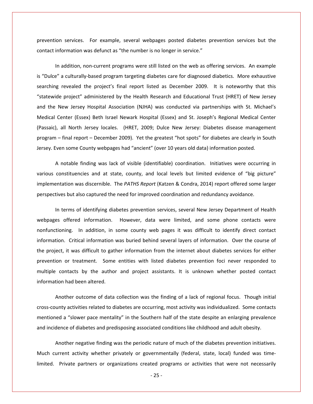prevention services. For example, several webpages posted diabetes prevention services but the contact information was defunct as "the number is no longer in service."

In addition, non-current programs were still listed on the web as offering services. An example is "Dulce" a culturally-based program targeting diabetes care for diagnosed diabetics. More exhaustive searching revealed the project's final report listed as December 2009. It is noteworthy that this "statewide project" administered by the Health Research and Educational Trust (HRET) of New Jersey and the New Jersey Hospital Association (NJHA) was conducted via partnerships with St. Michael's Medical Center (Essex) Beth Israel Newark Hospital (Essex) and St. Joseph's Regional Medical Center (Passaic), all North Jersey locales. (HRET, 2009; Dulce New Jersey: Diabetes disease management program – final report – December 2009). Yet the greatest "hot spots" for diabetes are clearly in South Jersey. Even some County webpages had "ancient" (over 10 years old data) information posted.

A notable finding was lack of visible (identifiable) coordination. Initiatives were occurring in various constituencies and at state, county, and local levels but limited evidence of "big picture" implementation was discernible. The *PATHS Report* (Katzen & Condra, 2014) report offered some larger perspectives but also captured the need for improved coordination and redundancy avoidance.

In terms of identifying diabetes prevention services, several New Jersey Department of Health webpages offered information. However, data were limited, and some phone contacts were nonfunctioning. In addition, in some county web pages it was difficult to identify direct contact information. Critical information was buried behind several layers of information. Over the course of the project, it was difficult to gather information from the internet about diabetes services for either prevention or treatment. Some entities with listed diabetes prevention foci never responded to multiple contacts by the author and project assistants. It is unknown whether posted contact information had been altered.

Another outcome of data collection was the finding of a lack of regional focus. Though initial cross-county activities related to diabetes are occurring, most activity was individualized. Some contacts mentioned a "slower pace mentality" in the Southern half of the state despite an enlarging prevalence and incidence of diabetes and predisposing associated conditions like childhood and adult obesity.

Another negative finding was the periodic nature of much of the diabetes prevention initiatives. Much current activity whether privately or governmentally (federal, state, local) funded was timelimited. Private partners or organizations created programs or activities that were not necessarily

- 25 -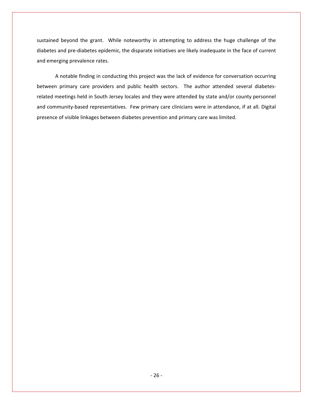sustained beyond the grant. While noteworthy in attempting to address the huge challenge of the diabetes and pre-diabetes epidemic, the disparate initiatives are likely inadequate in the face of current and emerging prevalence rates.

A notable finding in conducting this project was the lack of evidence for conversation occurring between primary care providers and public health sectors. The author attended several diabetesrelated meetings held in South Jersey locales and they were attended by state and/or county personnel and community-based representatives. Few primary care clinicians were in attendance, if at all. Digital presence of visible linkages between diabetes prevention and primary care was limited.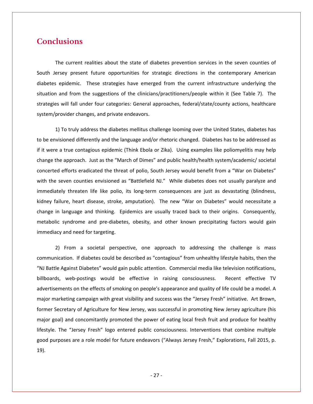# **Conclusions**

The current realities about the state of diabetes prevention services in the seven counties of South Jersey present future opportunities for strategic directions in the contemporary American diabetes epidemic. These strategies have emerged from the current infrastructure underlying the situation and from the suggestions of the clinicians/practitioners/people within it (See Table 7). The strategies will fall under four categories: General approaches, federal/state/county actions, healthcare system/provider changes, and private endeavors.

1) To truly address the diabetes mellitus challenge looming over the United States, diabetes has to be envisioned differently and the language and/or rhetoric changed. Diabetes has to be addressed as if it were a true contagious epidemic (Think Ebola or Zika). Using examples like poliomyelitis may help change the approach. Just as the "March of Dimes" and public health/health system/academic/ societal concerted efforts eradicated the threat of polio, South Jersey would benefit from a "War on Diabetes" with the seven counties envisioned as "Battlefield NJ." While diabetes does not usually paralyze and immediately threaten life like polio, its long-term consequences are just as devastating (blindness, kidney failure, heart disease, stroke, amputation). The new "War on Diabetes" would necessitate a change in language and thinking. Epidemics are usually traced back to their origins. Consequently, metabolic syndrome and pre-diabetes, obesity, and other known precipitating factors would gain immediacy and need for targeting.

2) From a societal perspective, one approach to addressing the challenge is mass communication. If diabetes could be described as "contagious" from unhealthy lifestyle habits, then the "NJ Battle Against Diabetes" would gain public attention. Commercial media like television notifications, billboards, web-postings would be effective in raising consciousness. Recent effective TV advertisements on the effects of smoking on people's appearance and quality of life could be a model. A major marketing campaign with great visibility and success was the "Jersey Fresh" initiative. Art Brown, former Secretary of Agriculture for New Jersey, was successful in promoting New Jersey agriculture (his major goal) and concomitantly promoted the power of eating local fresh fruit and produce for healthy lifestyle. The "Jersey Fresh" logo entered public consciousness. Interventions that combine multiple good purposes are a role model for future endeavors ("Always Jersey Fresh," Explorations, Fall 2015, p. 19).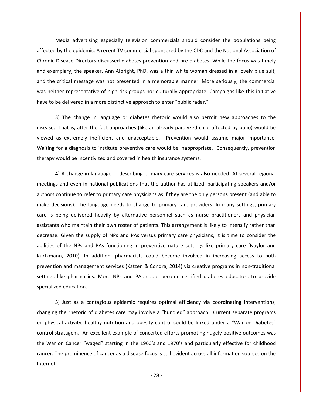Media advertising especially television commercials should consider the populations being affected by the epidemic. A recent TV commercial sponsored by the CDC and the National Association of Chronic Disease Directors discussed diabetes prevention and pre-diabetes. While the focus was timely and exemplary, the speaker, Ann Albright, PhD, was a thin white woman dressed in a lovely blue suit, and the critical message was not presented in a memorable manner. More seriously, the commercial was neither representative of high-risk groups nor culturally appropriate. Campaigns like this initiative have to be delivered in a more distinctive approach to enter "public radar."

3) The change in language or diabetes rhetoric would also permit new approaches to the disease. That is, after the fact approaches (like an already paralyzed child affected by polio) would be viewed as extremely inefficient and unacceptable. Prevention would assume major importance. Waiting for a diagnosis to institute preventive care would be inappropriate. Consequently, prevention therapy would be incentivized and covered in health insurance systems.

4) A change in language in describing primary care services is also needed. At several regional meetings and even in national publications that the author has utilized, participating speakers and/or authors continue to refer to primary care physicians as if they are the only persons present (and able to make decisions). The language needs to change to primary care providers. In many settings, primary care is being delivered heavily by alternative personnel such as nurse practitioners and physician assistants who maintain their own roster of patients. This arrangement is likely to intensify rather than decrease. Given the supply of NPs and PAs versus primary care physicians, it is time to consider the abilities of the NPs and PAs functioning in preventive nature settings like primary care (Naylor and Kurtzmann, 2010). In addition, pharmacists could become involved in increasing access to both prevention and management services (Katzen & Condra, 2014) via creative programs in non-traditional settings like pharmacies. More NPs and PAs could become certified diabetes educators to provide specialized education.

5) Just as a contagious epidemic requires optimal efficiency via coordinating interventions, changing the rhetoric of diabetes care may involve a "bundled" approach. Current separate programs on physical activity, healthy nutrition and obesity control could be linked under a "War on Diabetes" control stratagem. An excellent example of concerted efforts promoting hugely positive outcomes was the War on Cancer "waged" starting in the 1960's and 1970's and particularly effective for childhood cancer. The prominence of cancer as a disease focus is still evident across all information sources on the Internet.

- 28 -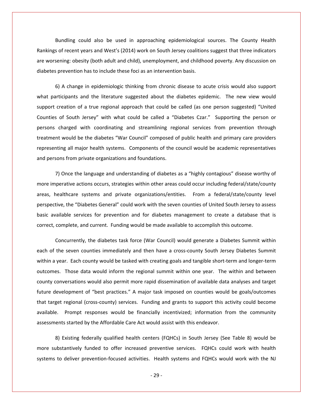Bundling could also be used in approaching epidemiological sources. The County Health Rankings of recent years and West's (2014) work on South Jersey coalitions suggest that three indicators are worsening: obesity (both adult and child), unemployment, and childhood poverty. Any discussion on diabetes prevention has to include these foci as an intervention basis.

6) A change in epidemiologic thinking from chronic disease to acute crisis would also support what participants and the literature suggested about the diabetes epidemic. The new view would support creation of a true regional approach that could be called (as one person suggested) "United Counties of South Jersey" with what could be called a "Diabetes Czar." Supporting the person or persons charged with coordinating and streamlining regional services from prevention through treatment would be the diabetes "War Council" composed of public health and primary care providers representing all major health systems. Components of the council would be academic representatives and persons from private organizations and foundations.

7) Once the language and understanding of diabetes as a "highly contagious" disease worthy of more imperative actions occurs, strategies within other areas could occur including federal/state/county areas, healthcare systems and private organizations/entities. From a federal/state/county level perspective, the "Diabetes General" could work with the seven counties of United South Jersey to assess basic available services for prevention and for diabetes management to create a database that is correct, complete, and current. Funding would be made available to accomplish this outcome.

Concurrently, the diabetes task force (War Council) would generate a Diabetes Summit within each of the seven counties immediately and then have a cross-county South Jersey Diabetes Summit within a year. Each county would be tasked with creating goals and tangible short-term and longer-term outcomes. Those data would inform the regional summit within one year. The within and between county conversations would also permit more rapid dissemination of available data analyses and target future development of "best practices." A major task imposed on counties would be goals/outcomes that target regional (cross-county) services. Funding and grants to support this activity could become available. Prompt responses would be financially incentivized; information from the community assessments started by the Affordable Care Act would assist with this endeavor.

8) Existing federally qualified health centers (FQHCs) in South Jersey (See Table 8) would be more substantively funded to offer increased preventive services. FQHCs could work with health systems to deliver prevention-focused activities. Health systems and FQHCs would work with the NJ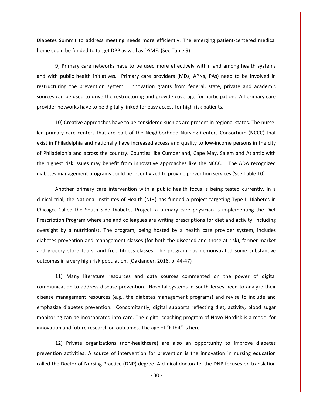Diabetes Summit to address meeting needs more efficiently. The emerging patient-centered medical home could be funded to target DPP as well as DSME. (See Table 9)

9) Primary care networks have to be used more effectively within and among health systems and with public health initiatives. Primary care providers (MDs, APNs, PAs) need to be involved in restructuring the prevention system. Innovation grants from federal, state, private and academic sources can be used to drive the restructuring and provide coverage for participation. All primary care provider networks have to be digitally linked for easy access for high risk patients.

10) Creative approaches have to be considered such as are present in regional states. The nurseled primary care centers that are part of the Neighborhood Nursing Centers Consortium (NCCC) that exist in Philadelphia and nationally have increased access and quality to low-income persons in the city of Philadelphia and across the country. Counties like Cumberland, Cape May, Salem and Atlantic with the highest risk issues may benefit from innovative approaches like the NCCC. The ADA recognized diabetes management programs could be incentivized to provide prevention services (See Table 10)

Another primary care intervention with a public health focus is being tested currently. In a clinical trial, the National Institutes of Health (NIH) has funded a project targeting Type II Diabetes in Chicago. Called the South Side Diabetes Project, a primary care physician is implementing the Diet Prescription Program where she and colleagues are writing prescriptions for diet and activity, including oversight by a nutritionist. The program, being hosted by a health care provider system, includes diabetes prevention and management classes (for both the diseased and those at-risk), farmer market and grocery store tours, and free fitness classes. The program has demonstrated some substantive outcomes in a very high risk population. (Oaklander, 2016, p. 44-47)

11) Many literature resources and data sources commented on the power of digital communication to address disease prevention. Hospital systems in South Jersey need to analyze their disease management resources (e.g., the diabetes management programs) and revise to include and emphasize diabetes prevention. Concomitantly, digital supports reflecting diet, activity, blood sugar monitoring can be incorporated into care. The digital coaching program of Novo-Nordisk is a model for innovation and future research on outcomes. The age of "Fitbit" is here.

12) Private organizations (non-healthcare) are also an opportunity to improve diabetes prevention activities. A source of intervention for prevention is the innovation in nursing education called the Doctor of Nursing Practice (DNP) degree. A clinical doctorate, the DNP focuses on translation

- 30 -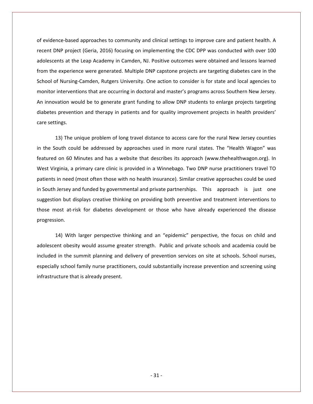of evidence-based approaches to community and clinical settings to improve care and patient health. A recent DNP project (Geria, 2016) focusing on implementing the CDC DPP was conducted with over 100 adolescents at the Leap Academy in Camden, NJ. Positive outcomes were obtained and lessons learned from the experience were generated. Multiple DNP capstone projects are targeting diabetes care in the School of Nursing-Camden, Rutgers University. One action to consider is for state and local agencies to monitor interventions that are occurring in doctoral and master's programs across Southern New Jersey. An innovation would be to generate grant funding to allow DNP students to enlarge projects targeting diabetes prevention and therapy in patients and for quality improvement projects in health providers' care settings.

13) The unique problem of long travel distance to access care for the rural New Jersey counties in the South could be addressed by approaches used in more rural states. The "Health Wagon" was featured on 60 Minutes and has a website that describes its approach (www.thehealthwagon.org). In West Virginia, a primary care clinic is provided in a Winnebago. Two DNP nurse practitioners travel TO patients in need (most often those with no health insurance). Similar creative approaches could be used in South Jersey and funded by governmental and private partnerships. This approach is just one suggestion but displays creative thinking on providing both preventive and treatment interventions to those most at-risk for diabetes development or those who have already experienced the disease progression.

14) With larger perspective thinking and an "epidemic" perspective, the focus on child and adolescent obesity would assume greater strength. Public and private schools and academia could be included in the summit planning and delivery of prevention services on site at schools. School nurses, especially school family nurse practitioners, could substantially increase prevention and screening using infrastructure that is already present.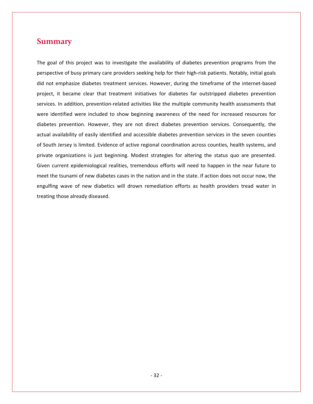## **Summary**

The goal of this project was to investigate the availability of diabetes prevention programs from the perspective of busy primary care providers seeking help for their high-risk patients. Notably, initial goals did not emphasize diabetes treatment services. However, during the timeframe of the internet-based project, it became clear that treatment initiatives for diabetes far outstripped diabetes prevention services. In addition, prevention-related activities like the multiple community health assessments that were identified were included to show beginning awareness of the need for increased resources for diabetes prevention. However, they are not direct diabetes prevention services. Consequently, the actual availability of easily identified and accessible diabetes prevention services in the seven counties of South Jersey is limited. Evidence of active regional coordination across counties, health systems, and private organizations is just beginning. Modest strategies for altering the status quo are presented. Given current epidemiological realities, tremendous efforts will need to happen in the near future to meet the tsunami of new diabetes cases in the nation and in the state. If action does not occur now, the engulfing wave of new diabetics will drown remediation efforts as health providers tread water in treating those already diseased.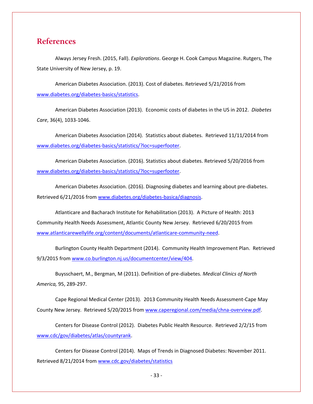# **References**

Always Jersey Fresh. (2015, Fall). *Explorations*. George H. Cook Campus Magazine. Rutgers, The State University of New Jersey, p. 19.

American Diabetes Association. (2013). Cost of diabetes. Retrieved 5/21/2016 from [www.diabetes.org/diabetes-basics/statistics.](http://www.diabetes.org/diabetes-basics/statistics)

American Diabetes Association (2013). Economic costs of diabetes in the US in 2012. *Diabetes Care*, 36(4), 1033-1046.

American Diabetes Association (2014). Statistics about diabetes. Retrieved 11/11/2014 from [www.diabetes.org/diabetes-basics/statistics/?loc=superfooter.](http://www.diabetes.org/diabetes-basics/statistics/?loc=superfooter)

American Diabetes Association. (2016). Statistics about diabetes. Retrieved 5/20/2016 from [www.diabetes.org/diabetes-basics/statistics/?loc=superfooter.](http://www.diabetes.org/diabetes-basics/statistics/?loc=superfooter)

American Diabetes Association. (2016). Diagnosing diabetes and learning about pre-diabetes. Retrieved 6/21/2016 from [www.diabetes.org/diabetes-basica/diagnosis.](http://www.diabetes.org/diabetes-basica/diagnosis)

Atlanticare and Bacharach Institute for Rehabilitation (2013). A Picture of Health: 2013 Community Health Needs Assessment, Atlantic County New Jersey. Retrieved 6/20/2015 from [www.atlanticarewellylife.org/content/documents/atlanticare-community-need.](http://www.atlanticarewellylife.org/content/documents/atlanticare-community-need)

Burlington County Health Department (2014). Community Health Improvement Plan. Retrieved 9/3/2015 fro[m www.co.burlington.nj.us/documentcenter/view/404.](http://www.co.burlington.nj.us/documentcenter/view/404)

Buysschaert, M., Bergman, M (2011). Definition of pre-diabetes. *Medical Clinics of North America,* 95, 289-297.

Cape Regional Medical Center (2013). 2013 Community Health Needs Assessment-Cape May County New Jersey. Retrieved 5/20/2015 fro[m www.caperegional.com/media/chna-overview.pdf.](http://www.caperegional.com/media/chna-overview.pdf)

Centers for Disease Control (2012). Diabetes Public Health Resource. Retrieved 2/2/15 from [www.cdc/gov/diabetes/atlas/countyrank.](http://www.cdc/gov/diabetes/atlas/countyrank)

Centers for Disease Control (2014). Maps of Trends in Diagnosed Diabetes: November 2011. Retrieved 8/21/2014 from [www.cdc.gov/diabetes/statistics](http://www.cdc.gov/diabetes/statistics)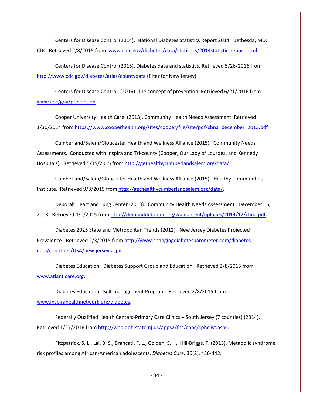Centers for Disease Control (2014). National Diabetes Statistics Report 2014. Bethesda, MD: CDC. Retrieved 2/8/2015 from [www.cmc.gov/diabetes/data/statistics/2014statisticsreport.html.](http://www.cmc.gov/diabetes/data/statistics/2014statisticsreport.html)

Centers for Disease Control (2015). Diabetes data and statistics. Retrieved 5/26/2016 from <http://www.cdc.gov/diabetes/atlas/countydata> (filter for New Jersey)

Centers for Disease Control. (2016). The concept of prevention. Retrieved 6/21/2016 from [www.cdc/gov/prevention.](http://www.cdc/gov/prevention)

Cooper University Health Care. (2013). Community Health Needs Assessment. Retrieved 1/30/2014 from [https://www.cooperhealth.org/sites/cooper/file/site/pdf/chna\\_december\\_2013.pdf](https://www.cooperhealth.org/sites/cooper/file/site/pdf/chna_december_2013.pdf)

Cumberland/Salem/Gloucester Health and Wellness Alliance (2015). Community Needs Assessments. Conducted with Inspira and Tri-county (Cooper, Our Lady of Lourdes, and Kennedy Hospitals). Retrieved 5/15/2015 from<http://gethealthycumberlandsalem.org/data/>

Cumberland/Salem/Gloucester Health and Wellness Alliance (2015). Healthy Communities Institute. Retrieved 9/3/2015 from [http://gethealthycumberlandsalem.org/data/.](http://gethealthycumberlandsalem.org/data/)

Deborah Heart and Lung Center (2013). Community Health Needs Assessment. December 16, 2013. Retrieved 4/1/2015 from [http://demanddeborah.org/wp-content/uploads/2014/12/chna.pdf.](http://demanddeborah.org/wp-content/uploads/2014/12/chna.pdf)

Diabetes 2025 State and Metropolitan Trends (2012). New Jersey Diabetes Projected Prevalence. Retrieved 2/3/2015 from [http://www.changingdiabetesbarometer.com/diabetes](http://www.changingdiabetesbarometer.com/diabetes-data/countries/USA/new-jersey.aspx)[data/countries/USA/new-jersey.aspx.](http://www.changingdiabetesbarometer.com/diabetes-data/countries/USA/new-jersey.aspx)

Diabetes Education. Diabetes Support Group and Education. Retrieved 2/8/2015 from [www.atlanticare.org.](http://www.atlanticare.org/)

Diabetes Education. Self-management Program. Retrieved 2/8/2015 from [www.inspirahealthnetwork.org/diabetes.](http://www.inspirahealthnetwork.org/diabetes)

Federally Qualified Health Centers-Primary Care Clinics – South Jersey (7 counties) (2014). Retrieved 1/27/2016 from [http://web.doh.state.nj.us/apps2/fhs/cphc/cphclist.aspx.](http://web.doh.state.nj.us/apps2/fhs/cphc/cphclist.aspx)

Fitzpatrick, S. L., Lai, B. S., Brancati, F. L., Golden, S. H., Hill-Briggs, F. (2013). Metabolic syndrome risk profiles among African-American adolescents. *Diabetes Care,* 36(2), 436-442.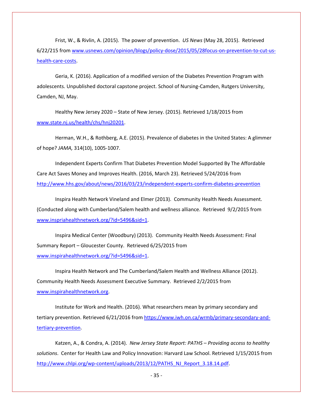Frist, W., & Rivlin, A. (2015). The power of prevention. *US News* (May 28, 2015). Retrieved 6/22/215 fro[m www.usnews.com/opinion/blogs/policy-dose/2015/05/28focus-on-prevention-to-cut-us](http://www.usnews.com/opinion/blogs/policy-dose/2015/05/28focus-on-prevention-to-cut-us-health-care-costs)[health-care-costs.](http://www.usnews.com/opinion/blogs/policy-dose/2015/05/28focus-on-prevention-to-cut-us-health-care-costs)

Geria, K. (2016). Application of a modified version of the Diabetes Prevention Program with adolescents. Unpublished doctoral capstone project. School of Nursing-Camden, Rutgers University, Camden, NJ, May.

Healthy New Jersey 2020 – State of New Jersey. (2015). Retrieved 1/18/2015 from [www.state.nj.us/health/chs/hnj20201.](http://www.state.nj.us/health/chs/hnj20201)

Herman, W.H., & Rothberg, A.E. (2015). Prevalence of diabetes in the United States: A glimmer of hope? *JAMA,* 314(10), 1005-1007.

Independent Experts Confirm That Diabetes Prevention Model Supported By The Affordable Care Act Saves Money and Improves Health. (2016, March 23). Retrieved 5/24/2016 from <http://www.hhs.gov/about/news/2016/03/23/independent-experts-confirm-diabetes-prevention>

Inspira Health Network Vineland and Elmer (2013). Community Health Needs Assessment. (Conducted along with Cumberland/Salem health and wellness alliance. Retrieved 9/2/2015 from [www.inspriahealthnetwork.org/?id=5496&sid=1.](http://www.inspriahealthnetwork.org/?id=5496&sid=1)

Inspira Medical Center (Woodbury) (2013). Community Health Needs Assessment: Final Summary Report – Gloucester County. Retrieved 6/25/2015 from [www.inspirahealthnetwork.org/?id=5496&sid=1.](http://www.inspirahealthnetwork.org/?id=5496&sid=1)

Inspira Health Network and The Cumberland/Salem Health and Wellness Alliance (2012). Community Health Needs Assessment Executive Summary. Retrieved 2/2/2015 from [www.inspirahealthnetwork.org.](http://www.inspirahealthnetwork.org/)

Institute for Work and Health. (2016). What researchers mean by primary secondary and tertiary prevention. Retrieved 6/21/2016 from [https://www.iwh.on.ca/wrmb/primary-secondary-and](https://www.iwh.on.ca/wrmb/primary-secondary-and-tertiary-prevention)[tertiary-prevention.](https://www.iwh.on.ca/wrmb/primary-secondary-and-tertiary-prevention)

Katzen, A., & Condra, A. (2014). *New Jersey State Report: PATHS – Providing access to healthy solutions*. Center for Health Law and Policy Innovation: Harvard Law School. Retrieved 1/15/2015 from [http://www.chlpi.org/wp-content/uploads/2013/12/PATHS\\_NJ\\_Report\\_3.18.14.pdf.](http://www.chlpi.org/wp-content/uploads/2013/12/PATHS_NJ_Report_3.18.14.pdf)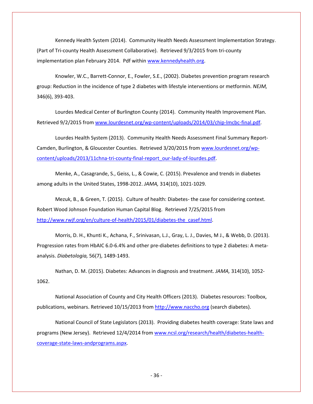Kennedy Health System (2014). Community Health Needs Assessment Implementation Strategy. (Part of Tri-county Health Assessment Collaborative). Retrieved 9/3/2015 from tri-county implementation plan February 2014. Pdf withi[n www.kennedyhealth.org.](http://www.kennedyhealth.org/)

Knowler, W.C., Barrett-Connor, E., Fowler, S.E., (2002). Diabetes prevention program research group: Reduction in the incidence of type 2 diabetes with lifestyle interventions or metformin. *NEJM,*  346(6), 393-403.

Lourdes Medical Center of Burlington County (2014). Community Health Improvement Plan. Retrieved 9/2/2015 from [www.lourdesnet.org/wp-content/uploads/2014/03/chip-lmcbc-final.pdf.](http://www.lourdesnet.org/wp-content/uploads/2014/03/chip-lmcbc-final.pdf)

Lourdes Health System (2013). Community Health Needs Assessment Final Summary ReportCamden, Burlington, & Gloucester Counties. Retrieved 3/20/2015 from [www.lourdesnet.org/wp](http://www.lourdesnet.org/wp-content/uploads/2013/11chna-tri-county-final-report_our-lady-of-lourdes.pdf)[content/uploads/2013/11chna-tri-county-final-report\\_our-lady-of-lourdes.pdf.](http://www.lourdesnet.org/wp-content/uploads/2013/11chna-tri-county-final-report_our-lady-of-lourdes.pdf)

Menke, A., Casagrande, S., Geiss, L., & Cowie, C. (2015). Prevalence and trends in diabetes among adults in the United States, 1998-2012. *JAMA,* 314(10), 1021-1029.

Mezuk, B., & Green, T. (2015). Culture of health: Diabetes- the case for considering context. Robert Wood Johnson Foundation Human Capital Blog. Retrieved 7/25/2015 from [http://www.rwjf.org/en/culture-of-health/2015/01/diabetes-the\\_casef.html.](http://www.rwjf.org/en/culture-of-health/2015/01/diabetes-the_casef.html)

Morris, D. H., Khunti K., Achana, F., Srinivasan, L.J., Gray, L. J., Davies, M J., & Webb, D. (2013). Progression rates from HbAIC 6.0-6.4% and other pre-diabetes definitions to type 2 diabetes: A metaanalysis. *Diabetologia,* 56(7), 1489-1493.

Nathan, D. M. (2015). Diabetes: Advances in diagnosis and treatment. *JAMA,* 314(10), 1052- 1062.

National Association of County and City Health Officers (2013). Diabetes resources: Toolbox, publications, webinars. Retrieved 10/15/2013 from [http://www.naccho.org](http://www.naccho.org/) (search diabetes).

National Council of State Legislators (2013). Providing diabetes health coverage: State laws and programs (New Jersey). Retrieved 12/4/2014 from [www.ncsl.org/research/health/diabetes-health](http://www.ncsl.org/research/health/diabetes-health-coverage-state-laws-andprograms.aspx)[coverage-state-laws-andprograms.aspx.](http://www.ncsl.org/research/health/diabetes-health-coverage-state-laws-andprograms.aspx)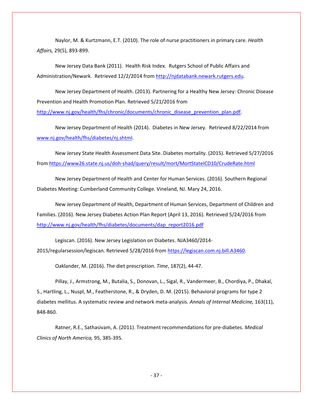Naylor, M. & Kurtzmann, E.T. (2010). The role of nurse practitioners in primary care. *Health Affairs,* 29(5), 893-899.

New Jersey Data Bank (2011). Health Risk Index. Rutgers School of Public Affairs and Administration/Newark. Retrieved 12/2/2014 from [http://njdatabank.newark.rutgers.edu.](http://njdatabank.newark.rutgers.edu/)

New Jersey Department of Health. (2013). Partnering for a Healthy New Jersey: Chronic Disease Prevention and Health Promotion Plan. Retrieved 5/21/2016 from [http://www.nj.gov/health/fhs/chronic/documents/chronic\\_disease\\_prevention\\_plan.pdf.](http://www.nj.gov/health/fhs/chronic/documents/chronic_disease_prevention_plan.pdf)

New Jersey Department of Health (2014). Diabetes in New Jersey. Retrieved 8/22/2014 from [www.nj.gov/health/fhs/diabetes/nj.shtml.](http://www.nj.gov/health/fhs/diabetes/nj.shtml)

New Jersey State Health Assessment Data Site. Diabetes mortality. (2015). Retrieved 5/27/2016 from<https://www26.state.nj.us/doh-shad/query/result/mort/MortStateICD10/CrudeRate.html>

New Jersey Department of Health and Center for Human Services. (2016). Southern Regional Diabetes Meeting: Cumberland Community College. Vineland, NJ. Mary 24, 2016.

New Jersey Department of Health, Department of Human Services, Department of Children and Families. (2016). New Jersey Diabetes Action Plan Report (April 13, 2016). Retrieved 5/24/2016 from [http://www.nj.gov/health/fhs/diabetes/documents/dap\\_report2016.pdf](http://www.nj.gov/health/fhs/diabetes/documents/dap_report2016.pdf)

Legiscan. (2016). New Jersey Legislation on Diabetes. NJA3460/2014- 2015/regularsession/legiscan. Retrieved 5/28/2016 from [https://legiscan.com.nj.bill.A3460.](https://legiscan.com.nj.bill.a3460/)

Oaklander, M. (2016). The diet prescription. *Time*, 187(2), 44-47.

Pillay, J., Armstrong, M., Butalia, S., Donovan, L., Sigal, R., Vandermeer, B., Chordiya, P., Dhakal, S., Hartling, L., Nuspl, M., Featherstone, R., & Dryden, D. M. (2015). Behavioral programs for type 2 diabetes mellitus. A systematic review and network meta-analysis. *Annals of Internal Medicine,* 163(11), 848-860.

Ratner, R.E., Sathasivam, A. (2011). Treatment recommendations for pre-diabetes. *Medical Clinics of North America,* 95, 385-395.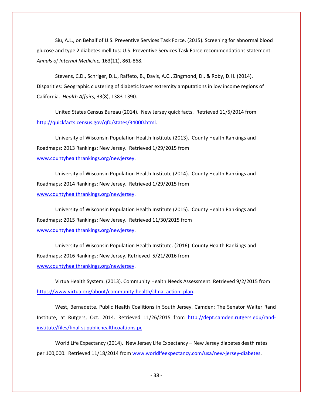Siu, A.L., on Behalf of U.S. Preventive Services Task Force. (2015). Screening for abnormal blood glucose and type 2 diabetes mellitus: U.S. Preventive Services Task Force recommendations statement. *Annals of Internal Medicine,* 163(11), 861-868.

Stevens, C.D., Schriger, D.L., Raffeto, B., Davis, A.C., Zingmond, D., & Roby, D.H. (2014). Disparities: Geographic clustering of diabetic lower extremity amputations in low income regions of California. *Health Affairs*, 33(8), 1383-1390.

United States Census Bureau (2014). New Jersey quick facts. Retrieved 11/5/2014 from [http://quickfacts.census.gov/qfd/states/34000.html.](http://quickfacts.census.gov/qfd/states/34000.html)

University of Wisconsin Population Health Institute (2013). County Health Rankings and Roadmaps: 2013 Rankings: New Jersey. Retrieved 1/29/2015 from [www.countyhealthrankings.org/newjersey.](http://www.countyhealthrankings.org/newjersey)

University of Wisconsin Population Health Institute (2014). County Health Rankings and Roadmaps: 2014 Rankings: New Jersey. Retrieved 1/29/2015 from [www.countyhealthrankings.org/newjersey.](http://www.countyhealthrankings.org/newjersey)

University of Wisconsin Population Health Institute (2015). County Health Rankings and Roadmaps: 2015 Rankings: New Jersey. Retrieved 11/30/2015 from [www.countyhealthrankings.org/newjersey.](http://www.countyhealthrankings.org/newjersey)

University of Wisconsin Population Health Institute. (2016). County Health Rankings and Roadmaps: 2016 Rankings: New Jersey. Retrieved 5/21/2016 from [www.countyhealthrankings.org/newjersey.](http://www.countyhealthrankings.org/newjersey)

Virtua Health System. (2013). Community Health Needs Assessment. Retrieved 9/2/2015 from [https://www.virtua.org/about/community-health/chna\\_action\\_plan.](https://www.virtua.org/about/community-health/chna_action_plan)

West, Bernadette. Public Health Coalitions in South Jersey. Camden: The Senator Walter Rand Institute, at Rutgers, Oct. 2014. Retrieved 11/26/2015 from [http://dept.camden.rutgers.edu/rand](http://dept.camden.rutgers.edu/rand-institute/files/final-sj-publichealthcoaltions.pc)[institute/files/final-sj-publichealthcoaltions.pc](http://dept.camden.rutgers.edu/rand-institute/files/final-sj-publichealthcoaltions.pc)

World Life Expectancy (2014). New Jersey Life Expectancy – New Jersey diabetes death rates per 100,000. Retrieved 11/18/2014 from [www.worldlfeexpectancy.com/usa/new-jersey-diabetes.](http://www.worldlfeexpectancy.com/usa/new-jersey-diabetes)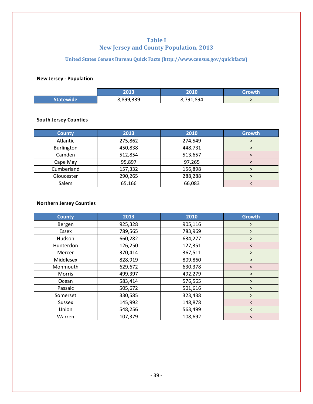#### **Table I New Jersey and County Population, 2013**

#### **United States Census Bureau Quick Facts (http://www.census.gov/quickfacts)**

#### **New Jersey - Population**

|           | 2013      | 2010      | Growth |
|-----------|-----------|-----------|--------|
| Statewide | 8,899,339 | 8,791,894 |        |

#### **South Jersey Counties**

| <b>County</b> | 2013    | 2010    | <b>Growth</b> |
|---------------|---------|---------|---------------|
| Atlantic      | 275,862 | 274,549 |               |
| Burlington    | 450,838 | 448,731 |               |
| Camden        | 512,854 | 513,657 |               |
| Cape May      | 95,897  | 97,265  |               |
| Cumberland    | 157,332 | 156,898 |               |
| Gloucester    | 290,265 | 288,288 |               |
| Salem         | 65,166  | 66,083  |               |

#### **Northern Jersey Counties**

| <b>County</b> | 2013    | 2010    | <b>Growth</b> |
|---------------|---------|---------|---------------|
| Bergen        | 925,328 | 905,116 | $\geq$        |
| Essex         | 789,565 | 783,969 | $\geq$        |
| Hudson        | 660,282 | 634,277 | $\geq$        |
| Hunterdon     | 126,250 | 127,351 | $\prec$       |
| Mercer        | 370,414 | 367,511 | $\geq$        |
| Middlesex     | 828,919 | 809,860 | $\geq$        |
| Monmouth      | 629,672 | 630,378 | $\prec$       |
| <b>Morris</b> | 499,397 | 492,279 | $\geq$        |
| Ocean         | 583,414 | 576,565 | $\geq$        |
| Passaic       | 505,672 | 501,616 | $\geq$        |
| Somerset      | 330,585 | 323,438 | $\geq$        |
| <b>Sussex</b> | 145,992 | 148,878 | $\,<$         |
| Union         | 548,256 | 563,499 | $\prec$       |
| Warren        | 107,379 | 108,692 | $\,<\,$       |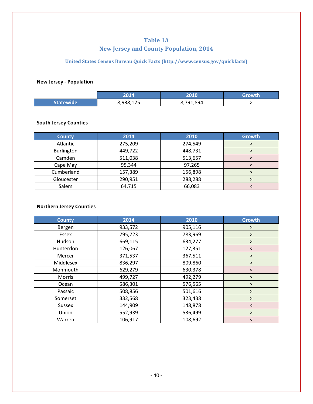#### **Table 1A New Jersey and County Population, 2014**

#### **United States Census Bureau Quick Facts (http://www.census.gov/quickfacts)**

#### **New Jersey - Population**

|                  | 2014       | 2010      | Growth |
|------------------|------------|-----------|--------|
| <b>Statewide</b> | 938<br>47F | 8.791.894 |        |

#### **South Jersey Counties**

| <b>County</b> | 2014    | 2010    | <b>Growth</b> |
|---------------|---------|---------|---------------|
| Atlantic      | 275,209 | 274,549 |               |
| Burlington    | 449,722 | 448,731 |               |
| Camden        | 511,038 | 513,657 |               |
| Cape May      | 95,344  | 97,265  |               |
| Cumberland    | 157,389 | 156,898 |               |
| Gloucester    | 290,951 | 288,288 |               |
| Salem         | 64,715  | 66,083  |               |

#### **Northern Jersey Counties**

| <b>County</b> | 2014    | 2010    | <b>Growth</b> |
|---------------|---------|---------|---------------|
| Bergen        | 933,572 | 905,116 | $\geq$        |
| Essex         | 795,723 | 783,969 | $\geq$        |
| Hudson        | 669,115 | 634,277 | $\geq$        |
| Hunterdon     | 126,067 | 127,351 | $\prec$       |
| Mercer        | 371,537 | 367,511 | $\geq$        |
| Middlesex     | 836,297 | 809,860 | $\geq$        |
| Monmouth      | 629,279 | 630,378 | $\prec$       |
| <b>Morris</b> | 499,727 | 492,279 | $\geq$        |
| Ocean         | 586,301 | 576,565 | $\geq$        |
| Passaic       | 508,856 | 501,616 | $\geq$        |
| Somerset      | 332,568 | 323,438 | $\geq$        |
| <b>Sussex</b> | 144,909 | 148,878 | $\prec$       |
| Union         | 552,939 | 536,499 | $\geq$        |
| Warren        | 106,917 | 108,692 | $\,<\,$       |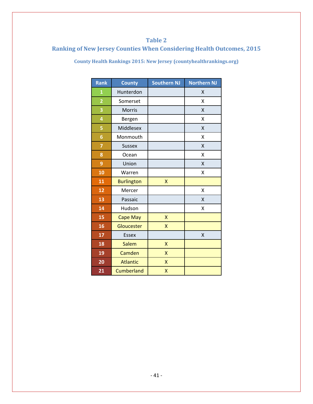#### **Table 2**

# **Ranking of New Jersey Counties When Considering Health Outcomes, 2015**

| <b>Rank</b>             | <b>County</b>     | <b>Southern NJ</b> | <b>Northern NJ</b> |
|-------------------------|-------------------|--------------------|--------------------|
| $\mathbf{1}$            | Hunterdon         |                    | X                  |
| $\overline{\mathbf{c}}$ | Somerset          |                    | X                  |
| 3                       | <b>Morris</b>     |                    | X                  |
| 4                       | Bergen            |                    | X                  |
| 5                       | <b>Middlesex</b>  |                    | X                  |
| 6                       | Monmouth          |                    | X                  |
| 7                       | <b>Sussex</b>     |                    | X                  |
| 8                       | Ocean             |                    | X                  |
| 9                       | Union             |                    | X                  |
| 10                      | Warren            |                    | X                  |
| 11                      | <b>Burlington</b> | Χ                  |                    |
| 12                      | Mercer            |                    | X                  |
| 13                      | Passaic           |                    | X                  |
| 14                      | Hudson            |                    | Χ                  |
| 15                      | Cape May          | $\pmb{\mathsf{X}}$ |                    |
| 16                      | Gloucester        | X                  |                    |
| 17                      | <b>Essex</b>      |                    | X                  |
| 18                      | <b>Salem</b>      | X                  |                    |
| 19                      | Camden            | X                  |                    |
| 20                      | <b>Atlantic</b>   | X                  |                    |
| 21                      | <b>Cumberland</b> | X                  |                    |

**County Health Rankings 2015: New Jersey (countyhealthrankings.org)**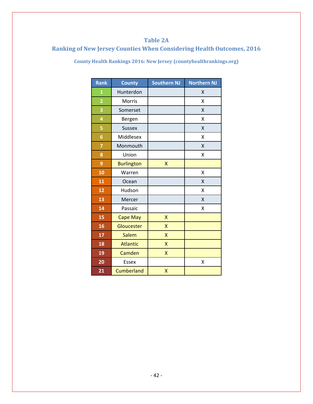## **Table 2A**

# **Ranking of New Jersey Counties When Considering Health Outcomes, 2016**

| <b>Rank</b>             | <b>County</b>     | <b>Southern NJ</b> | <b>Northern NJ</b> |
|-------------------------|-------------------|--------------------|--------------------|
| $\mathbf{1}$            | Hunterdon         |                    | X                  |
| $\overline{\mathbf{c}}$ | Morris            |                    | Χ                  |
| 3                       | Somerset          |                    | X                  |
| 4                       | Bergen            |                    | X                  |
| 5                       | <b>Sussex</b>     |                    | X                  |
| 6                       | Middlesex         |                    | Χ                  |
| $\overline{\mathbf{z}}$ | Monmouth          |                    | X                  |
| 8                       | Union             |                    | Χ                  |
| $\overline{9}$          | <b>Burlington</b> | X                  |                    |
| 10                      | Warren            |                    | Χ                  |
| 11                      | Ocean             |                    | X                  |
| 12                      | Hudson            |                    | X                  |
| 13                      | Mercer            |                    | X                  |
| 14                      | Passaic           |                    | Χ                  |
| 15                      | Cape May          | Χ                  |                    |
| 16                      | Gloucester        | X                  |                    |
| 17                      | <b>Salem</b>      | X                  |                    |
| 18                      | <b>Atlantic</b>   | X                  |                    |
| 19                      | Camden            | X                  |                    |
| 20                      | <b>Essex</b>      |                    | Χ                  |
| 21                      | <b>Cumberland</b> | X                  |                    |

**County Health Rankings 2016: New Jersey (countyhealthrankings.org)**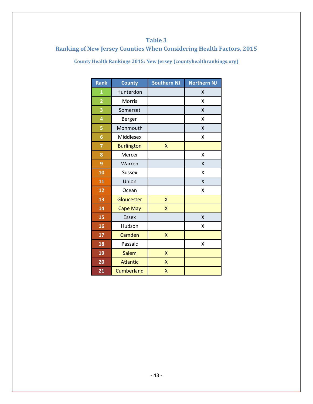### **Table 3**

# **Ranking of New Jersey Counties When Considering Health Factors, 2015**

| <b>Rank</b>             | <b>County</b>     | <b>Southern NJ</b> | <b>Northern NJ</b> |
|-------------------------|-------------------|--------------------|--------------------|
| $\mathbf{1}$            | Hunterdon         |                    | X                  |
| $\overline{\mathbf{c}}$ | <b>Morris</b>     |                    | X                  |
| 3                       | Somerset          |                    | X                  |
| 4                       | Bergen            |                    | Χ                  |
| 5                       | Monmouth          |                    | X                  |
| $6\phantom{1}6$         | Middlesex         |                    | X                  |
| $\overline{7}$          | <b>Burlington</b> | X                  |                    |
| 8                       | Mercer            |                    | X                  |
| 9                       | Warren            |                    | X                  |
| 10                      | <b>Sussex</b>     |                    | Χ                  |
| 11                      | Union             |                    | X                  |
| 12                      | Ocean             |                    | Χ                  |
| 13                      | Gloucester        | X                  |                    |
| 14                      | Cape May          | X                  |                    |
| 15                      | <b>Essex</b>      |                    | Χ                  |
| 16                      | Hudson            |                    | Χ                  |
| 17                      | Camden            | X                  |                    |
| 18                      | Passaic           |                    | Χ                  |
| 19                      | <b>Salem</b>      | X                  |                    |
| 20                      | <b>Atlantic</b>   | X                  |                    |
| 21                      | <b>Cumberland</b> | X                  |                    |

**County Health Rankings 2015: New Jersey (countyhealthrankings.org)**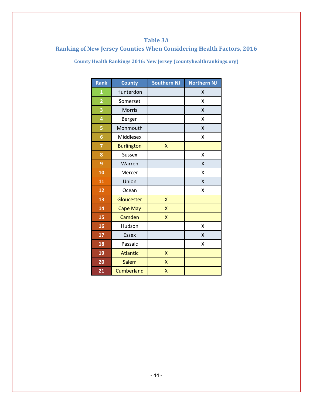## **Table 3A**

# **Ranking of New Jersey Counties When Considering Health Factors, 2016**

| <b>Rank</b>             | <b>County</b>     | <b>Southern NJ</b> | <b>Northern NJ</b> |
|-------------------------|-------------------|--------------------|--------------------|
| $\overline{\mathbf{1}}$ | Hunterdon         |                    | Χ                  |
| $\overline{\mathbf{c}}$ | Somerset          |                    | X                  |
| 3                       | Morris            |                    | X                  |
| 4                       | Bergen            |                    | X                  |
| 5                       | Monmouth          |                    | X                  |
| $6\phantom{1}6$         | Middlesex         |                    | Χ                  |
| 7                       | <b>Burlington</b> | X                  |                    |
| 8                       | <b>Sussex</b>     |                    | Χ                  |
| 9                       | Warren            |                    | X                  |
| 10                      | Mercer            |                    | X                  |
| 11                      | Union             |                    | X                  |
| 12                      | Ocean             |                    | Χ                  |
| 13                      | Gloucester        | X                  |                    |
| 14                      | <b>Cape May</b>   | X                  |                    |
| 15                      | Camden            | X                  |                    |
| 16                      | Hudson            |                    | Χ                  |
| 17                      | <b>Essex</b>      |                    | X                  |
| 18                      | Passaic           |                    | X                  |
| 19                      | <b>Atlantic</b>   | X                  |                    |
| 20                      | <b>Salem</b>      | X                  |                    |
| 21                      | <b>Cumberland</b> | X                  |                    |

**County Health Rankings 2016: New Jersey (countyhealthrankings.org)**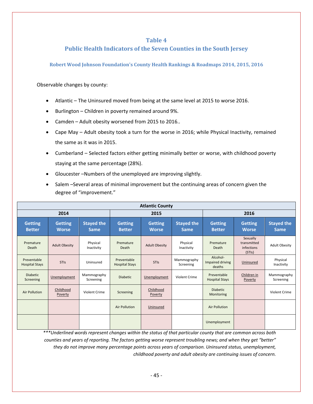#### **Table 4**

#### **Public Health Indicators of the Seven Counties in the South Jersey**

**Robert Wood Johnson Foundation's County Health Rankings & Roadmaps 2014, 2015, 2016**

Observable changes by county:

- Atlantic The Uninsured moved from being at the same level at 2015 to worse 2016.
- Burlington Children in poverty remained around 9%.
- Camden Adult obesity worsened from 2015 to 2016..
- Cape May Adult obesity took a turn for the worse in 2016; while Physical Inactivity, remained the same as it was in 2015.
- Cumberland Selected factors either getting minimally better or worse, with childhood poverty staying at the same percentage (28%).
- Gloucester –Numbers of the unemployed are improving slightly.
- Salem –Several areas of minimal improvement but the continuing areas of concern given the degree of "improvement."

| <b>Atlantic County</b>               |                                |                                  |                                      |                                |                                  |                                        |                                                 |                                  |
|--------------------------------------|--------------------------------|----------------------------------|--------------------------------------|--------------------------------|----------------------------------|----------------------------------------|-------------------------------------------------|----------------------------------|
|                                      | 2014                           |                                  |                                      | 2015                           |                                  | 2016                                   |                                                 |                                  |
| <b>Getting</b><br><b>Better</b>      | <b>Getting</b><br><b>Worse</b> | <b>Stayed the</b><br><b>Same</b> | <b>Getting</b><br><b>Better</b>      | <b>Getting</b><br><b>Worse</b> | <b>Stayed the</b><br><b>Same</b> | <b>Getting</b><br><b>Better</b>        | <b>Getting</b><br><b>Worse</b>                  | <b>Stayed the</b><br><b>Same</b> |
| Premature<br>Death                   | <b>Adult Obesity</b>           | Physical<br>Inactivity           | Premature<br>Death                   | <b>Adult Obesity</b>           | Physical<br>Inactivity           | Premature<br>Death                     | Sexually<br>transmitted<br>infections<br>(STIs) | <b>Adult Obesity</b>             |
| Preventable<br><b>Hospital Stays</b> | <b>STIs</b>                    | Uninsured                        | Preventable<br><b>Hospital Stays</b> | <b>STIs</b>                    | Mammography<br>Screening         | Alcohol-<br>Impaired driving<br>deaths | Uninsured                                       | Physical<br>Inactivity           |
| <b>Diabetic</b><br>Screening         | Unemployment                   | Mammography<br>Screening         | <b>Diabetic</b>                      | Unemployment                   | <b>Violent Crime</b>             | Preventable<br><b>Hospital Stays</b>   | Children in<br>Poverty                          | Mammography<br>Screening         |
| <b>Air Pollution</b>                 | Childhood<br>Poverty           | Violent Crime                    | Screening                            | Childhood<br>Poverty           |                                  | <b>Diabetic</b><br>Monitoring          |                                                 | <b>Violent Crime</b>             |
|                                      |                                |                                  | <b>Air Pollution</b>                 | Uninsured                      |                                  | <b>Air Pollution</b>                   |                                                 |                                  |
|                                      |                                |                                  |                                      |                                |                                  | Unemployment                           |                                                 |                                  |

*\*\*\*Underlined words represent changes within the status of that particular county that are common across both counties and years of reporting. The factors getting worse represent troubling news; and when they get "better" they do not improve many percentage points across years of comparison. Uninsured status, unemployment, childhood poverty and adult obesity are continuing issues of concern.*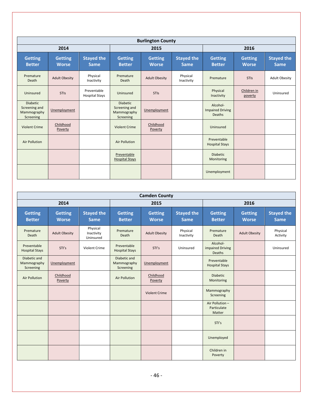| <b>Burlington County</b>                                     |                                |                                      |                                                              |                                |                                  |                                               |                                |                                  |
|--------------------------------------------------------------|--------------------------------|--------------------------------------|--------------------------------------------------------------|--------------------------------|----------------------------------|-----------------------------------------------|--------------------------------|----------------------------------|
|                                                              | 2014                           |                                      | 2016<br>2015                                                 |                                |                                  |                                               |                                |                                  |
| <b>Getting</b><br><b>Better</b>                              | <b>Getting</b><br><b>Worse</b> | <b>Stayed the</b><br><b>Same</b>     | <b>Getting</b><br><b>Better</b>                              | <b>Getting</b><br><b>Worse</b> | <b>Stayed the</b><br><b>Same</b> | <b>Getting</b><br><b>Better</b>               | <b>Getting</b><br><b>Worse</b> | <b>Stayed the</b><br><b>Same</b> |
| Premature<br>Death                                           | <b>Adult Obesity</b>           | Physical<br>Inactivity               | Premature<br>Death                                           | <b>Adult Obesity</b>           | Physical<br>Inactivity           | Premature                                     | <b>STIs</b>                    | <b>Adult Obesity</b>             |
| Uninsured                                                    | <b>STIs</b>                    | Preventable<br><b>Hospital Stays</b> | Uninsured                                                    | <b>STIs</b>                    |                                  | Physical<br>Inactivity                        | Children in<br>poverty         | Uninsured                        |
| <b>Diabetic</b><br>Screening and<br>Mammography<br>Screening | Unemployment                   |                                      | <b>Diabetic</b><br>Screening and<br>Mammography<br>Screening | Unemployment                   |                                  | Alcohol-<br><b>Impaired Driving</b><br>Deaths |                                |                                  |
| <b>Violent Crime</b>                                         | Childhood<br>Poverty           |                                      | <b>Violent Crime</b>                                         | Childhood<br>Poverty           |                                  | Uninsured                                     |                                |                                  |
| <b>Air Pollution</b>                                         |                                |                                      | <b>Air Pollution</b>                                         |                                |                                  | Preventable<br><b>Hospital Stays</b>          |                                |                                  |
|                                                              |                                |                                      | Preventable<br><b>Hospital Stays</b>                         |                                |                                  | <b>Diabetic</b><br>Monitoring                 |                                |                                  |
|                                                              |                                |                                      |                                                              |                                |                                  | Unemployment                                  |                                |                                  |

|                                          | <b>Camden County</b>           |                                     |                                          |                                |                                  |                                          |                                |                                  |  |
|------------------------------------------|--------------------------------|-------------------------------------|------------------------------------------|--------------------------------|----------------------------------|------------------------------------------|--------------------------------|----------------------------------|--|
|                                          | 2014                           |                                     |                                          | 2015                           |                                  |                                          | 2016                           |                                  |  |
| <b>Getting</b><br><b>Better</b>          | <b>Getting</b><br><b>Worse</b> | <b>Stayed the</b><br><b>Same</b>    | <b>Getting</b><br><b>Better</b>          | <b>Getting</b><br><b>Worse</b> | <b>Stayed the</b><br><b>Same</b> | <b>Getting</b><br><b>Better</b>          | <b>Getting</b><br><b>Worse</b> | <b>Stayed the</b><br><b>Same</b> |  |
| Premature<br>Death                       | <b>Adult Obesity</b>           | Physical<br>Inactivity<br>Uninsured | Premature<br>Death                       | <b>Adult Obesity</b>           | Physical<br>Inactivity           | Premature<br>Death                       | <b>Adult Obesity</b>           | Physical<br>Activity             |  |
| Preventable<br><b>Hospital Stays</b>     | STI's                          | Violent Crime                       | Preventable<br><b>Hospital Stays</b>     | STI's                          | Uninsured                        | Alcohol-<br>impaired Driving<br>Deaths   |                                | Uninsured                        |  |
| Diabetic and<br>Mammography<br>Screening | Unemployment                   |                                     | Diabetic and<br>Mammography<br>Screening | Unemployment                   |                                  | Preventable<br><b>Hospital Stays</b>     |                                |                                  |  |
| <b>Air Pollution</b>                     | Childhood<br>Poverty           |                                     | <b>Air Pollution</b>                     | Childhood<br>Poverty           |                                  | <b>Diabetic</b><br>Monitoring            |                                |                                  |  |
|                                          |                                |                                     |                                          | <b>Violent Crime</b>           |                                  | Mammography<br>Screening                 |                                |                                  |  |
|                                          |                                |                                     |                                          |                                |                                  | Air Pollution -<br>Particulate<br>Matter |                                |                                  |  |
|                                          |                                |                                     |                                          |                                |                                  | STI's                                    |                                |                                  |  |
|                                          |                                |                                     |                                          |                                |                                  | Unemployed                               |                                |                                  |  |
|                                          |                                |                                     |                                          |                                |                                  | Children in<br>Poverty                   |                                |                                  |  |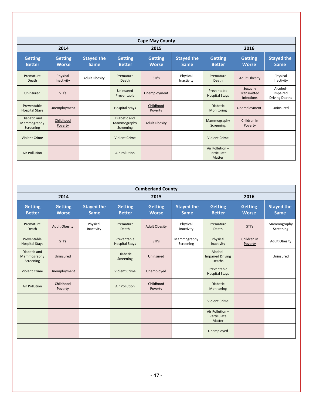|                                          | <b>Cape May County</b>         |                                  |                                          |                                |                                  |                                          |                                       |                                               |  |
|------------------------------------------|--------------------------------|----------------------------------|------------------------------------------|--------------------------------|----------------------------------|------------------------------------------|---------------------------------------|-----------------------------------------------|--|
|                                          | 2014                           |                                  |                                          | 2015                           |                                  | 2016                                     |                                       |                                               |  |
| <b>Getting</b><br><b>Better</b>          | <b>Getting</b><br><b>Worse</b> | <b>Stayed the</b><br><b>Same</b> | <b>Getting</b><br><b>Better</b>          | <b>Getting</b><br><b>Worse</b> | <b>Stayed the</b><br><b>Same</b> | <b>Getting</b><br><b>Better</b>          | <b>Getting</b><br><b>Worse</b>        | <b>Stayed the</b><br><b>Same</b>              |  |
| Premature<br>Death                       | Physical<br>Inactivity         | <b>Adult Obesity</b>             | Premature<br>Death                       | STI's                          | Physical<br>Inactivity           | Premature<br>Death                       | <b>Adult Obesity</b>                  | Physical<br>Inactivity                        |  |
| Uninsured                                | STI's                          |                                  | Uninsured<br>Preventable                 | Unemployment                   |                                  | Preventable<br><b>Hospital Stays</b>     | Sexually<br>Transmitted<br>Infections | Alcohol-<br>Impaired<br><b>Driving Deaths</b> |  |
| Preventable<br><b>Hospital Stays</b>     | Unemployment                   |                                  | <b>Hospital Stays</b>                    | Childhood<br>Poverty           |                                  | <b>Diabetic</b><br>Monitoring            | Unemployment                          | Uninsured                                     |  |
| Diabetic and<br>Mammography<br>Screening | Childhood<br>Poverty           |                                  | Diabetic and<br>Mammography<br>Screening | <b>Adult Obesity</b>           |                                  | Mammography<br>Screening                 | Children in<br>Poverty                |                                               |  |
| <b>Violent Crime</b>                     |                                |                                  | Violent Crime                            |                                |                                  | Violent Crime                            |                                       |                                               |  |
| <b>Air Pollution</b>                     |                                |                                  | <b>Air Pollution</b>                     |                                |                                  | Air Pollution -<br>Particulate<br>Matter |                                       |                                               |  |

|                                          | <b>Cumberland County</b>       |                                  |                                      |                                |                                  |                                                      |                                |                                  |  |
|------------------------------------------|--------------------------------|----------------------------------|--------------------------------------|--------------------------------|----------------------------------|------------------------------------------------------|--------------------------------|----------------------------------|--|
|                                          | 2014                           |                                  |                                      | 2015                           |                                  |                                                      | 2016                           |                                  |  |
| <b>Getting</b><br><b>Better</b>          | <b>Getting</b><br><b>Worse</b> | <b>Stayed the</b><br><b>Same</b> | <b>Getting</b><br><b>Better</b>      | <b>Getting</b><br><b>Worse</b> | <b>Stayed the</b><br><b>Same</b> | <b>Getting</b><br><b>Better</b>                      | <b>Getting</b><br><b>Worse</b> | <b>Stayed the</b><br><b>Same</b> |  |
| Premature<br>Death                       | <b>Adult Obesity</b>           | Physical<br>Inactivity           | Premature<br>Death                   | <b>Adult Obesity</b>           | Physical<br>inactivity           | Premature<br>Death                                   | STI's                          | Mammography<br>Screening         |  |
| Preventable<br><b>Hospital Stays</b>     | STI's                          |                                  | Preventable<br><b>Hospital Stays</b> | STI's                          | Mammography<br>Screening         | Physical<br>Inactivity                               | Children in<br>Poverty         | <b>Adult Obesity</b>             |  |
| Diabetic and<br>Mammography<br>Screening | Uninsured                      |                                  | <b>Diabetic</b><br>Screening         | Uninsured                      |                                  | Alcohol-<br><b>Impaired Driving</b><br><b>Deaths</b> |                                | Uninsured                        |  |
| <b>Violent Crime</b>                     | Unemployment                   |                                  | <b>Violent Crime</b>                 | Unemployed                     |                                  | Preventable<br><b>Hospital Stays</b>                 |                                |                                  |  |
| <b>Air Pollution</b>                     | Childhood<br>Poverty           |                                  | <b>Air Pollution</b>                 | Childhood<br>Poverty           |                                  | <b>Diabetic</b><br>Monitoring                        |                                |                                  |  |
|                                          |                                |                                  |                                      |                                |                                  | <b>Violent Crime</b>                                 |                                |                                  |  |
|                                          |                                |                                  |                                      |                                |                                  | Air Pollution-<br>Particulate<br>Matter              |                                |                                  |  |
|                                          |                                |                                  |                                      |                                |                                  | Unemployed                                           |                                |                                  |  |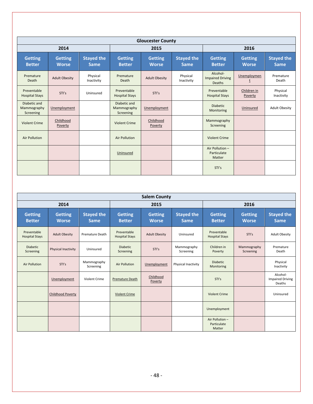|                                          | <b>Gloucester County</b>       |                                  |                                          |                                |                                  |                                                      |                                |                                  |  |
|------------------------------------------|--------------------------------|----------------------------------|------------------------------------------|--------------------------------|----------------------------------|------------------------------------------------------|--------------------------------|----------------------------------|--|
|                                          | 2014                           |                                  |                                          | 2015                           |                                  | 2016                                                 |                                |                                  |  |
| <b>Getting</b><br><b>Better</b>          | <b>Getting</b><br><b>Worse</b> | <b>Stayed the</b><br><b>Same</b> | <b>Getting</b><br><b>Better</b>          | <b>Getting</b><br><b>Worse</b> | <b>Stayed the</b><br><b>Same</b> | <b>Getting</b><br><b>Better</b>                      | <b>Getting</b><br><b>Worse</b> | <b>Stayed the</b><br><b>Same</b> |  |
| Premature<br>Death                       | <b>Adult Obesity</b>           | Physical<br>Inactivity           | Premature<br>Death                       | <b>Adult Obesity</b>           | Physical<br>Inactivity           | Alcohol-<br><b>Impaired Driving</b><br><b>Deaths</b> | Unemploymen<br>t               | Premature<br>Death               |  |
| Preventable<br><b>Hospital Stays</b>     | STI's                          | Uninsured                        | Preventable<br><b>Hospital Stays</b>     | STI's                          |                                  | Preventable<br><b>Hospital Stays</b>                 | Children in<br>Poverty         | Physical<br>Inactivity           |  |
| Diabetic and<br>Mammography<br>Screening | Unemployment                   |                                  | Diabetic and<br>Mammography<br>Screening | Unemployment                   |                                  | <b>Diabetic</b><br>Monitoring                        | Uninsured                      | <b>Adult Obesity</b>             |  |
| Violent Crime                            | Childhood<br>Poverty           |                                  | Violent Crime                            | Childhood<br>Poverty           |                                  | Mammography<br>Screening                             |                                |                                  |  |
| <b>Air Pollution</b>                     |                                |                                  | <b>Air Pollution</b>                     |                                |                                  | <b>Violent Crime</b>                                 |                                |                                  |  |
|                                          |                                |                                  | Uninsured                                |                                |                                  | Air Pollution -<br>Particulate<br>Matter             |                                |                                  |  |
|                                          |                                |                                  |                                          |                                |                                  | STI's                                                |                                |                                  |  |

| <b>Salem County</b>                  |                                |                                  |                                      |                                |                                  |                                          |                                |                                               |
|--------------------------------------|--------------------------------|----------------------------------|--------------------------------------|--------------------------------|----------------------------------|------------------------------------------|--------------------------------|-----------------------------------------------|
|                                      | 2014                           |                                  |                                      | 2015                           |                                  | 2016                                     |                                |                                               |
| <b>Getting</b><br><b>Better</b>      | <b>Getting</b><br><b>Worse</b> | <b>Stayed the</b><br><b>Same</b> | <b>Getting</b><br><b>Better</b>      | <b>Getting</b><br><b>Worse</b> | <b>Stayed the</b><br><b>Same</b> | <b>Getting</b><br><b>Better</b>          | <b>Getting</b><br><b>Worse</b> | <b>Stayed the</b><br><b>Same</b>              |
| Preventable<br><b>Hospital Stays</b> | <b>Adult Obesity</b>           | <b>Premature Death</b>           | Preventable<br><b>Hospital Stays</b> | <b>Adult Obesity</b>           | Uninsured                        | Preventable<br><b>Hospital Stays</b>     | STI's                          | <b>Adult Obesity</b>                          |
| <b>Diabetic</b><br>Screening         | Physical Inactivity            | Uninsured                        | <b>Diabetic</b><br>Screening         | STI's                          | Mammography<br>Screening         | Children in<br>Poverty                   | Mammography<br>Screening       | Premature<br>Death                            |
| <b>Air Pollution</b>                 | STI's                          | Mammography<br>Screening         | <b>Air Pollution</b>                 | Unemployment                   | Physical Inactivity              | <b>Diabetic</b><br>Monitoring            |                                | Physical<br>Inactivity                        |
|                                      | Unemployment                   | Violent Crime                    | <b>Premature Death</b>               | Childhood<br>Poverty           |                                  | STI's                                    |                                | Alcohol-<br><b>Impaired Driving</b><br>Deaths |
|                                      | Childhood Poverty              |                                  | <b>Violent Crime</b>                 |                                |                                  | <b>Violent Crime</b>                     |                                | Uninsured                                     |
|                                      |                                |                                  |                                      |                                |                                  | Unemployment                             |                                |                                               |
|                                      |                                |                                  |                                      |                                |                                  | Air Pollution -<br>Particulate<br>Matter |                                |                                               |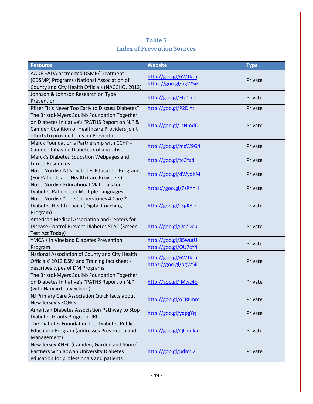# **Table 5 Index of Prevention Sources**

| <b>Resource</b>                                                                                                                                                                             | <b>Website</b>                                | <b>Type</b> |
|---------------------------------------------------------------------------------------------------------------------------------------------------------------------------------------------|-----------------------------------------------|-------------|
| AADE +ADA accredited DSMP/Treatment<br>(CDSMP) Programs (National Association of<br>County and City Health Officials (NACCHO, 2013)                                                         | http://goo.gl/6WTkrn<br>https://goo.gl/ogW5iE | Private     |
| Johnson & Johnson Research on Type I<br>Prevention                                                                                                                                          | http://goo.gl/Ffp1hD                          | Private     |
| Pfizer "It's Never Too Early to Discuss Diabetes"                                                                                                                                           | http://goo.gl/P2DIYt                          | Private     |
| The Bristol-Myers Squibb Foundation Together<br>on Diabetes Initiative's "PATHS Report on NJ" &<br>Camden Coalition of Healthcare Providers joint<br>efforts to provide focus on Prevention | http://goo.gl/LsNmdO                          | Private     |
| Merck Foundation's Partnership with CCHP -<br>Camden Citywide Diabetes Collaborative                                                                                                        | http://goo.gl/mcW9G4                          | Private     |
| Merck's Diabetes Education Webpages and<br><b>Linked Resources</b>                                                                                                                          | http://goo.gl/tcCYsd                          | Private     |
| Novo-Nordisk NJ's Diabetes Education Programs<br>(For Patients and Health Care Providers)                                                                                                   | http://goo.gl/dWydKM                          | Private     |
| Novo-Nordisk Educational Materials for<br>Diabetes Patients, in Multiple Languages                                                                                                          | https://goo.gl/7zRnnH                         | Private     |
| Novo-Nordisk " The Cornerstones 4 Care ®<br>Diabetes Health Coach (Digital Coaching<br>Program)                                                                                             | http://goo.gl/t3gK8D                          | Private     |
| American Medical Association and Centers for<br>Disease Control Prevent Diabetes STAT (Screen<br>Test Act Today)                                                                            | http://goo.gl/OaZDeu                          | Private     |
| YMCA's in Vineland Diabetes Prevention<br>Program                                                                                                                                           | http://goo.gl/85wutU<br>http://goo.gl/OU7cY4  | Private     |
| National Association of County and City Health<br>Officials' 2013 DSM and Training fact sheet -<br>describes types of DM Programs                                                           | http://goo.gl/6WTkrn<br>https://goo.gl/ogW5iE | Private     |
| The Bristol-Myers Squibb Foundation Together<br>on Diabetes Initiative's "PATHS Report on NJ"<br>(with Harvard Law School)                                                                  | http://goo.gl/IMwc4o                          | Private     |
| NJ Primary Care Association Quick facts about<br>New Jersey's FQHCs                                                                                                                         | http://goo.gl/oERFmm                          | Private     |
| American Diabetes Association Pathway to Stop<br>Diabetes Grants Program URL:                                                                                                               | http://goo.gl/yqpgYq                          | Private     |
| The Diabetes Foundation Inc. Diabetes Public<br><b>Education Program (addresses Prevention and</b><br>Management)                                                                           | http://goo.gl/QLmnka                          | Private     |
| New Jersey AHEC (Camden, Garden and Shore)<br>Partners with Rowan University Diabetes<br>education for professionals and patients                                                           | http://goo.gl/pdmtl2                          | Private     |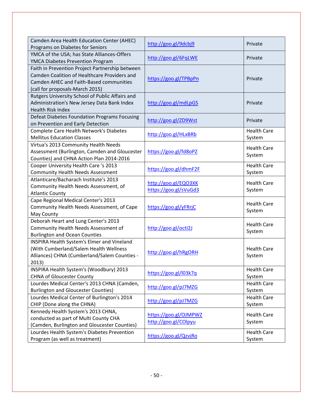| Camden Area Health Education Center (AHEC)                                      | http://goo.gl/9dcbj9  | Private            |
|---------------------------------------------------------------------------------|-----------------------|--------------------|
| Programs on Diabetes for Seniors                                                |                       |                    |
| YMCA of the USA; has State Alliances-Offers<br>YMCA Diabetes Prevention Program | http://goo.gl/6FqLWE  | Private            |
| Faith in Prevention Project Partnership between                                 |                       |                    |
| Camden Coalition of Healthcare Providers and                                    |                       |                    |
| <b>Camden AHEC and Faith-Based communities</b>                                  | https://goo.gl/TPBpPn | Private            |
| (call for proposals-March 2015)                                                 |                       |                    |
| Rutgers University School of Public Affairs and                                 |                       |                    |
| Administration's New Jersey Data Bank Index                                     | http://goo.gl/mdLpGS  | Private            |
| <b>Health Risk Index</b>                                                        |                       |                    |
| Defeat Diabetes Foundation Programs Focusing                                    |                       |                    |
| on Prevention and Early Detection                                               | http://goo.gl/ZD9Wst  | Private            |
| Complete Care Health Network's Diabetes                                         |                       | <b>Health Care</b> |
| <b>Mellitus Education Classes</b>                                               | http://goo.gl/HLxBRb  | System             |
| Virtua's 2013 Community Health Needs                                            |                       |                    |
| Assessment (Burlington, Camden and Gloucester                                   | https://goo.gl/fd8oPZ | <b>Health Care</b> |
| Counties) and CHNA Action Plan 2014-2016                                        |                       | System             |
| Cooper University Health Care 's 2013                                           |                       | <b>Health Care</b> |
| <b>Community Health Needs Assessment</b>                                        | https://goo.gl/dhmF2F | System             |
| Atlanticare/Bacharach Institute's 2013                                          |                       |                    |
| Community Health Needs Assessment, of                                           | http://goo.gl/EQO3XK  | <b>Health Care</b> |
| <b>Atlantic County</b>                                                          | https://goo.gl/sVuGd3 | System             |
| Cape Regional Medical Center's 2013                                             |                       |                    |
| Community Health Needs Assessment, of Cape                                      | https://goo.gl/yFRrjC | <b>Health Care</b> |
| May County                                                                      |                       | System             |
| Deborah Heart and Lung Center's 2013                                            |                       |                    |
| Community Health Needs Assessment of                                            | http://goo.gl/octl2J  | <b>Health Care</b> |
| <b>Burlington and Ocean Counties</b>                                            |                       | System             |
| INSPIRA Health System's Elmer and Vineland                                      |                       |                    |
| (With Cumberland/Salem Health Wellness                                          |                       | <b>Health Care</b> |
| Alliances) CHNA (Cumberland/Salem Counties -                                    | http://goo.gl/hRgORH  | System             |
| 2013)                                                                           |                       |                    |
| INSPIRA Health System's (Woodbury) 2013                                         |                       | <b>Health Care</b> |
| <b>CHNA of Gloucester County</b>                                                | https://goo.gl/l03k7q | System             |
| Lourdes Medical Center's 2013 CHNA (Camden,                                     |                       | <b>Health Care</b> |
| <b>Burlington and Gloucester Counties)</b>                                      | http://goo.gl/pJ7MZG  | System             |
| Lourdes Medical Center of Burlington's 2014                                     |                       | <b>Health Care</b> |
| CHIP (Done along the CHNA)                                                      | http://goo.gl/pJ7MZG  | System             |
| Kennedy Health System's 2013 CHNA,                                              | https://goo.gl/OJMPWZ | <b>Health Care</b> |
| conducted as part of Multi County CHA                                           | http://goo.gl/COlpyu  | System             |
| (Camden, Burlington and Gloucester Counties)                                    |                       |                    |
| Lourdes Health System's Diabetes Prevention                                     | https://goo.gl/QzvjRo | <b>Health Care</b> |
| Program (as well as treatment)                                                  |                       | System             |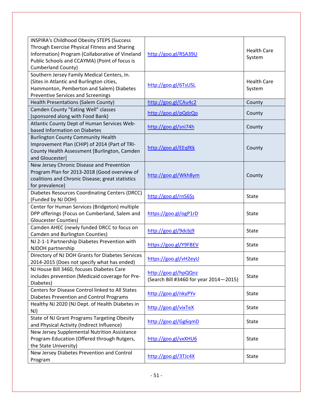| <b>INSPIRA's Childhood Obesity STEPS (Success</b><br>Through Exercise Physical Fitness and Sharing<br>Information) Program (Collaborative of Vineland<br>Public Schools and CCAYMA) (Point of focus is<br><b>Cumberland County)</b> | http://goo.gl/RSA39U                                           | <b>Health Care</b><br>System |
|-------------------------------------------------------------------------------------------------------------------------------------------------------------------------------------------------------------------------------------|----------------------------------------------------------------|------------------------------|
| Southern Jersey Family Medical Centers, In.<br>(Sites in Atlantic and Burlington cities,<br>Hammonton, Pemberton and Salem) Diabetes<br><b>Preventive Services and Screenings</b>                                                   | http://goo.gl/6TsUSL                                           | <b>Health Care</b><br>System |
| Health Presentations (Salem County)                                                                                                                                                                                                 | http://goo.gl/CAu4c2                                           | County                       |
| Camden County "Eating Well" classes<br>(sponsored along with Food Bank)                                                                                                                                                             | http://goo.gl/pQdzQo                                           | County                       |
| Atlantic County Dept of Human Services Web-<br>based Information on Diabetes                                                                                                                                                        | http://goo.gl/sni74h                                           | County                       |
| <b>Burlington County Community Health</b><br>Improvement Plan (CHIP) of 2014 (Part of TRI-<br>County Health Assessment [Burlington, Camden<br>and Gloucester]                                                                       | http://goo.gl/EEqfKk                                           | County                       |
| New Jersey Chronic Disease and Prevention<br>Program Plan for 2013-2018 (Good overview of<br>coalitions and Chronic Disease; great statistics<br>for prevalence)                                                                    | http://goo.gl/Wkh8ym                                           | County                       |
| Diabetes Resources Coordinating Centers (DRCC)<br>(Funded by NJ DOH)                                                                                                                                                                | http://goo.gl/rnS6Ss                                           | <b>State</b>                 |
| Center for Human Services (Bridgeton) multiple<br>DPP offerings (Focus on Cumberland, Salem and<br><b>Gloucester Counties)</b>                                                                                                      | https://goo.gl/ogP1rD                                          | <b>State</b>                 |
| Camden AHEC (newly funded DRCC to focus on<br>Camden and Burlington Counties)                                                                                                                                                       | http://goo.gl/9dcbj9                                           | <b>State</b>                 |
| NJ 2-1-1 Partnership Diabetes Prevention with<br>NJDOH partnership                                                                                                                                                                  | https://goo.gl/Y9FBEV                                          | <b>State</b>                 |
| Directory of NJ DOH Grants for Diabetes Services<br>2014-2015 (Does not specify what has ended)                                                                                                                                     | https://goo.gl/vH2eyU                                          | <b>State</b>                 |
| NJ House Bill 3460, focuses Diabetes Care<br>includes prevention (Medicaid coverage for Pre-<br>Diabetes)                                                                                                                           | http://goo.gl/hpQQnz<br>(Search Bill #3460 for year 2014-2015) | <b>State</b>                 |
| Centers for Disease Control linked to All States<br>Diabetes Prevention and Control Programs                                                                                                                                        | http://goo.gl/nkyPYv                                           | <b>State</b>                 |
| Healthy NJ 2020 (NJ Dept. of Health Diabetes in<br>NJ)                                                                                                                                                                              | http://goo.gl/vixTeX                                           | <b>State</b>                 |
| State of NJ Grant Programs Targeting Obesity<br>and Physical Activity (Indirect Influence)                                                                                                                                          | http://goo.gl/Gg6qmD                                           | <b>State</b>                 |
| New Jersey Supplemental Nutrition Assistance<br>Program-Education (Offered through Rutgers,<br>the State University)                                                                                                                | http://goo.gl/vxXHU6                                           | <b>State</b>                 |
| New Jersey Diabetes Prevention and Control<br>Program                                                                                                                                                                               | http://goo.gl/3TJc4X                                           | State                        |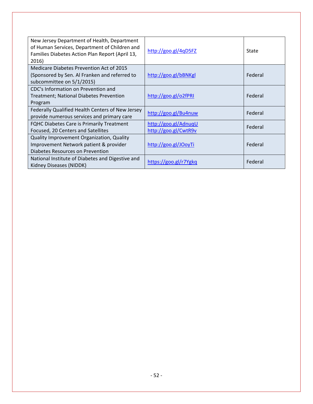| New Jersey Department of Health, Department<br>of Human Services, Department of Children and<br>Families Diabetes Action Plan Report (April 13,<br>2016) | http://goo.g /4qD5FZ                         | <b>State</b> |
|----------------------------------------------------------------------------------------------------------------------------------------------------------|----------------------------------------------|--------------|
| Medicare Diabetes Prevention Act of 2015<br>(Sponsored by Sen. Al Franken and referred to<br>subcommittee on 5/1/2015)                                   | http://goo.gl/bBNKgl                         | Federal      |
| CDC's Information on Prevention and<br><b>Treatment; National Diabetes Prevention</b><br>Program                                                         | http://goo.gl/o2fPRI                         | Federal      |
| Federally Qualified Health Centers of New Jersey<br>provide numerous services and primary care                                                           | http://goo.gl/Bu4nuw                         | Federal      |
| <b>FQHC Diabetes Care is Primarily Treatment</b><br>Focused, 20 Centers and Satellites                                                                   | http://goo.gl/AdnuqU<br>http://goo.gl/CwtR9v | Federal      |
| Quality Improvement Organization, Quality<br>Improvement Network patient & provider<br>Diabetes Resources on Prevention                                  | http://goo.gl/JOoyTi                         | Federal      |
| National Institute of Diabetes and Digestive and<br>Kidney Diseases (NIDDK)                                                                              | https://goo.gl/r7Ygkq                        | Federal      |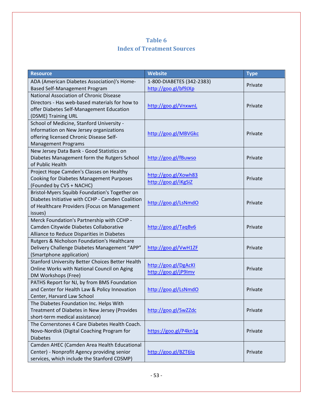# **Table 6 Index of Treatment Sources**

| <b>Resource</b>                                  | <b>Website</b>            | <b>Type</b> |
|--------------------------------------------------|---------------------------|-------------|
| ADA (American Diabetes Association)'s Home-      | 1-800-DIABETES (342-2383) | Private     |
| <b>Based Self-Management Program</b>             | http://goo.gl/bf9JXp      |             |
| National Association of Chronic Disease          |                           |             |
| Directors - Has web-based materials for how to   | http://goo.gl/VnxwnL      | Private     |
| offer Diabetes Self-Management Education         |                           |             |
| (DSME) Training URL                              |                           |             |
| School of Medicine, Stanford University -        |                           |             |
| Information on New Jersey organizations          | http://goo.gl/MBVGkc      | Private     |
| offering licensed Chronic Disease Self-          |                           |             |
| <b>Management Programs</b>                       |                           |             |
| New Jersey Data Bank - Good Statistics on        |                           |             |
| Diabetes Management form the Rutgers School      | http://goo.gl/fBuwso      | Private     |
| of Public Health                                 |                           |             |
| Project Hope Camden's Classes on Healthy         | http://goo.gl/Xowh83      |             |
| Cooking for Diabetes Management Purposes         | http://goo.gl/iKgSiZ      | Private     |
| (Founded by CVS + NACHC)                         |                           |             |
| Bristol-Myers Squibb Foundation's Together on    |                           |             |
| Diabetes Initiative with CCHP - Camden Coalition | http://goo.gl/LsNmdO      | Private     |
| of Healthcare Providers (Focus on Management     |                           |             |
| issues)                                          |                           |             |
| Merck Foundation's Partnership with CCHP -       |                           |             |
| Camden Citywide Diabetes Collaborative           | http://goo.gl/TaqBv6      | Private     |
| Alliance to Reduce Disparities in Diabetes       |                           |             |
| Rutgers & Nicholson Foundation's Healthcare      |                           |             |
| Delivery Challenge Diabetes Management "APP"     | http://goo.gl/VwH1ZF      | Private     |
| (Smartphone application)                         |                           |             |
| Stanford University Better Choices Better Health | http://goo.gl/DgAcKI      |             |
| Online Works with National Council on Aging      | http://goo.gl/jP9lmv      | Private     |
| DM Workshops (Free)                              |                           |             |
| PATHS Report for NJ, by from BMS Foundation      |                           |             |
| and Center for Health Law & Policy Innovation    | http://goo.gl/LsNmdO      | Private     |
| Center, Harvard Law School                       |                           |             |
| The Diabetes Foundation Inc. Helps With          |                           |             |
| Treatment of Diabetes in New Jersey (Provides    | http://goo.gl/SwZZdc      | Private     |
| short-term medical assistance)                   |                           |             |
| The Cornerstones 4 Care Diabetes Health Coach.   |                           |             |
| Novo-Nordisk (Digital Coaching Program for       | https://goo.gl/P4kn1g     | Private     |
| <b>Diabetes</b>                                  |                           |             |
| Camden AHEC (Camden Area Health Educational      |                           |             |
| Center) - Nonprofit Agency providing senior      | http://goo.gl/BZT6lq      | Private     |
| services, which include the Stanford CDSMP)      |                           |             |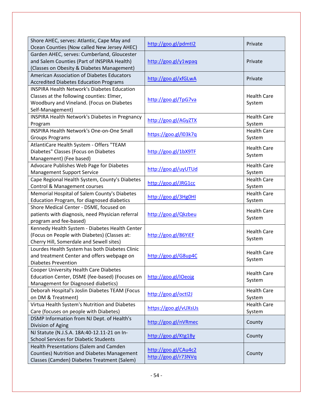| Shore AHEC, serves: Atlantic, Cape May and<br>Ocean Counties (Now called New Jersey AHEC) | http://goo.gl/pdmtl2  | Private            |
|-------------------------------------------------------------------------------------------|-----------------------|--------------------|
| Garden AHEC, serves: Cumberland, Gloucester                                               |                       |                    |
| and Salem Counties (Part of INSPIRA Health)                                               | http://goo.gl/y1wpaq  | Private            |
| (Classes on Obesity & Diabetes Management)                                                |                       |                    |
| American Association of Diabetes Educators                                                |                       |                    |
| <b>Accredited Diabetes Education Programs</b>                                             | http://goo.gl/xfGLwA  | Private            |
| <b>INSPIRA Health Network's Diabetes Education</b>                                        |                       |                    |
| Classes at the following counties: Elmer,                                                 | http://goo.gl/TpG7va  | <b>Health Care</b> |
| Woodbury and Vineland. (Focus on Diabetes                                                 |                       | System             |
| Self-Management)                                                                          |                       |                    |
| <b>INSPIRA Health Network's Diabetes in Pregnancy</b>                                     | http://goo.gl/AGyZTX  | <b>Health Care</b> |
| Program                                                                                   |                       | System             |
| <b>INSPIRA Health Network's One-on-One Small</b>                                          | https://goo.gl/l03k7q | <b>Health Care</b> |
| <b>Groups Programs</b>                                                                    |                       | System             |
| AtlantiCare Health System - Offers "TEAM                                                  |                       | <b>Health Care</b> |
| Diabetes" Classes (Focus on Diabetes                                                      | http://goo.gl/1bX9TF  | System             |
| Management) (Fee based)                                                                   |                       |                    |
| Advocare Publishes Web Page for Diabetes                                                  | http://goo.gl/uyUTUd  | <b>Health Care</b> |
| <b>Management Support Service</b>                                                         |                       | System             |
| Cape Regional Health System, County's Diabetes                                            | http://goo.gl/JRG1cc  | <b>Health Care</b> |
| Control & Management courses                                                              |                       | System             |
| Memorial Hospital of Salem County's Diabetes                                              | http://goo.gl/3Hg0HI  | <b>Health Care</b> |
| Education Program, for diagnosed diabetics                                                |                       | System             |
| Shore Medical Center - DSME, focused on                                                   |                       | <b>Health Care</b> |
| patients with diagnosis, need Physician referral<br>program and fee-based)                | http://goo.gl/Qkzbeu  | System             |
| Kennedy Health System - Diabetes Health Center                                            |                       |                    |
| (Focus on People with Diabetes) (Classes at:                                              | http://goo.gl/86YiEF  | <b>Health Care</b> |
| Cherry Hill, Somerdale and Sewell sites)                                                  |                       | System             |
| Lourdes Health System has both Diabetes Clinic                                            |                       |                    |
| and treatment Center and offers webpage on                                                | http://goo.gl/G8up4C  | <b>Health Care</b> |
| <b>Diabetes Prevention</b>                                                                |                       | System             |
| <b>Cooper University Health Care Diabetes</b>                                             |                       |                    |
| Education Center, DSME (fee-based) (Focuses on                                            | http://goo.gl/IOeojg  | <b>Health Care</b> |
| Management for Diagnosed diabetics)                                                       |                       | System             |
| Deborah Hospital's Joslin Diabetes TEAM (Focus                                            |                       | <b>Health Care</b> |
| on DM & Treatment)                                                                        | http://goo.gl/octl2J  | System             |
| Virtua Health System's Nutrition and Diabetes                                             |                       | <b>Health Care</b> |
| Care (focuses on people with Diabetes)                                                    | https://goo.gl/vUXsUs | System             |
| DSMP Information from NJ Dept. of Health's                                                |                       |                    |
| Division of Aging                                                                         | http://goo.gl/nVRmec  | County             |
| NJ Statute (N.J.S.A. 18A:40-12.11-21 on In-                                               |                       |                    |
| <b>School Services for Diabetic Students</b>                                              | http://goo.gl/Ktg1By  | County             |
| Health Presentations (Salem and Camden                                                    | http://goo.gl/CAu4c2  |                    |
| <b>Counties) Nutrition and Diabetes Management</b>                                        | http://goo.gl/r73NVq  | County             |
| Classes (Camden) Diabetes Treatment (Salem)                                               |                       |                    |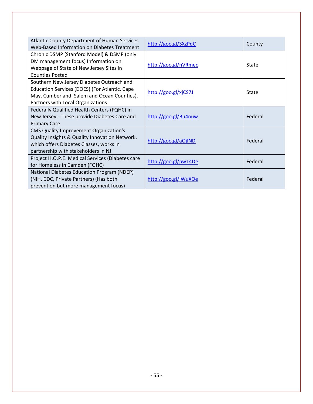| Atlantic County Department of Human Services<br>Web-Based Information on Diabetes Treatment                                                                                       | http://goo.gl/SXzPqC | County  |
|-----------------------------------------------------------------------------------------------------------------------------------------------------------------------------------|----------------------|---------|
| Chronic DSMP (Stanford Model) & DSMP (only<br>DM management focus) Information on<br>Webpage of State of New Jersey Sites in<br><b>Counties Posted</b>                            | http://goo.gl/nVRmec | State   |
| Southern New Jersey Diabetes Outreach and<br>Education Services (DOES) (For Atlantic, Cape<br>May, Cumberland, Salem and Ocean Counties).<br>Partners with Local Organizations    | http://goo.gl/xjCS7J | State   |
| Federally Qualified Health Centers (FQHC) in<br>New Jersey - These provide Diabetes Care and<br><b>Primary Care</b>                                                               | http://goo.gl/Bu4nuw | Federal |
| <b>CMS Quality Improvement Organization's</b><br>Quality Insights & Quality Innovation Network,<br>which offers Diabetes Classes, works in<br>partnership with stakeholders in NJ | http://goo.gl/aOjIND | Federal |
| Project H.O.P.E. Medical Services (Diabetes care<br>for Homeless in Camden (FQHC)                                                                                                 | http://goo.gl/pw14De | Federal |
| National Diabetes Education Program (NDEP)<br>(NIH, CDC, Private Partners) (Has both<br>prevention but more management focus)                                                     | http://goo.gl/IWuXOe | Federal |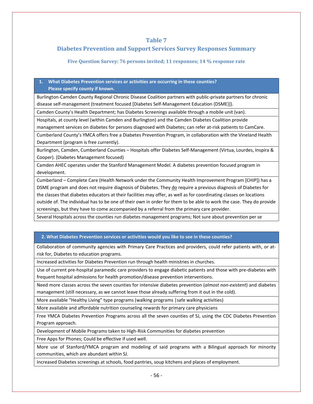#### **Table 7**

#### **Diabetes Prevention and Support Services Survey Responses Summary**

**Five Question Survey: 76 persons invited; 11 responses; 14 % response rate**

#### **1. What Diabetes Prevention services or activities are occurring in these counties? Please specify county if known.**

Burlington-Camden County Regional Chronic Disease Coalition partners with public-private partners for chronic disease self-management (treatment focused [Diabetes Self-Management Education {DSME}]).

Camden County's Health Department; has Diabetes Screenings available through a mobile unit (van).

Hospitals, at county level (within Camden and Burlington) and the Camden Diabetes Coalition provide

management services on diabetes for persons diagnosed with Diabetes; can refer at-risk patients to CamCare.

Cumberland County's YMCA offers free a Diabetes Prevention Program, in collaboration with the Vineland Health Department (program is free currently).

Burlington, Camden, Cumberland Counties – Hospitals offer Diabetes Self-Management (Virtua, Lourdes, Inspira & Cooper). (Diabetes Management focused)

Camden AHEC operates under the Stanford Management Model. A diabetes prevention focused program in development.

Cumberland – Complete Care (Health Network under the Community Health Improvement Program [CHIP]) has a DSME program and does not require diagnosis of Diabetes. They do require a previous diagnosis of Diabetes for the classes that diabetes educators at their facilities may offer, as well as for coordinating classes on locations outside of. The individual has to be one of their own in order for them to be able to work the case. They do provide screenings, but they have to come accompanied by a referral from the primary care provider.

Several Hospitals across the counties run diabetes management programs; Not sure about prevention per se

#### **2. What Diabetes Prevention services or activities would you like to see in these counties?**

Collaboration of community agencies with Primary Care Practices and providers, could refer patients with, or atrisk for, Diabetes to education programs.

Increased activities for Diabetes Prevention run through health ministries in churches.

Use of current pre-hospital paramedic care providers to engage diabetic patients and those with pre-diabetes with frequent hospital admissions for health promotion/disease prevention interventions.

Need more classes across the seven counties for intensive diabetes prevention (*almost non-existent*) and diabetes management (still necessary, as we cannot leave those already suffering from it out in the cold).

More available "Healthy Living" type programs (walking programs |safe walking activities)

More available and affordable nutrition counseling rewards for primary care physicians

Free YMCA Diabetes Prevention Programs across all the seven counties of SJ, using the CDC Diabetes Prevention Program approach.

Development of Mobile Programs taken to High-Risk Communities for diabetes prevention

Free Apps for Phones; Could be effective if used well.

More use of Stanford/YMCA program and modeling of said programs with a Bilingual approach for minority communities, which are abundant within SJ.

Increased Diabetes screenings at schools, food pantries, soup kitchens and places of employment.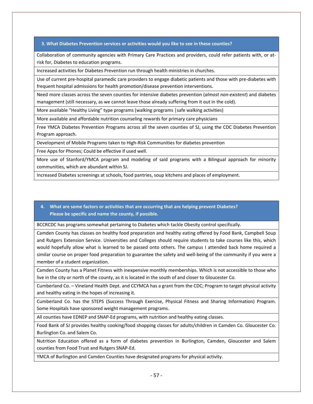#### **3. What Diabetes Prevention services or activities would you like to see in these counties?**

Collaboration of community agencies with Primary Care Practices and providers, could refer patients with, or atrisk for, Diabetes to education programs.

Increased activities for Diabetes Prevention run through health ministries in churches.

Use of current pre-hospital paramedic care providers to engage diabetic patients and those with pre-diabetes with frequent hospital admissions for health promotion/disease prevention interventions.

Need more classes across the seven counties for intensive diabetes prevention (*almost non-existent*) and diabetes management (still necessary, as we cannot leave those already suffering from it out in the cold).

More available "Healthy Living" type programs (walking programs |safe walking activities)

More available and affordable nutrition counseling rewards for primary care physicians

Free YMCA Diabetes Prevention Programs across all the seven counties of SJ, using the CDC Diabetes Prevention Program approach.

Development of Mobile Programs taken to High-Risk Communities for diabetes prevention

Free Apps for Phones; Could be effective if used well.

More use of Stanford/YMCA program and modeling of said programs with a Bilingual approach for minority communities, which are abundant within SJ.

Increased Diabetes screenings at schools, food pantries, soup kitchens and places of employment.

**4. What are some factors or activities that are occurring that are helping prevent Diabetes? Please be specific and name the county, if possible.**

BCCRCDC has programs somewhat pertaining to Diabetes which tackle Obesity control specifically.

Camden County has classes on healthy food preparation and healthy eating offered by Food Bank, Campbell Soup and Rutgers Extension Service. Universities and Colleges should require students to take courses like this, which would hopefully allow what is learned to be passed onto others. The campus I attended back home required a similar course on proper food preparation to guarantee the safety and well-being of the community if you were a member of a student organization.

Camden County has a Planet Fitness with inexpensive monthly memberships. Which is not accessible to those who live in the city or north of the county, as it is located in the south of and closer to Gloucester Co.

Cumberland Co. – Vineland Health Dept. and CCYMCA has a grant from the CDC; Program to target physical activity and healthy eating in the hopes of increasing it.

Cumberland Co. has the STEPS (Success Through Exercise, Physical Fitness and Sharing Information) Program. Some Hospitals have sponsored weight management programs.

All counties have EDNEP and SNAP-Ed programs, with nutrition and healthy eating classes.

Food Bank of SJ provides healthy cooking/food shopping classes for adults/children in Camden Co. Gloucester Co. Burlington Co. and Salem Co.

Nutrition Education offered as a form of diabetes prevention in Burlington, Camden, Gloucester and Salem counties from Food Trust and Rutgers SNAP-Ed.

YMCA of Burlington and Camden Counties have designated programs for physical activity.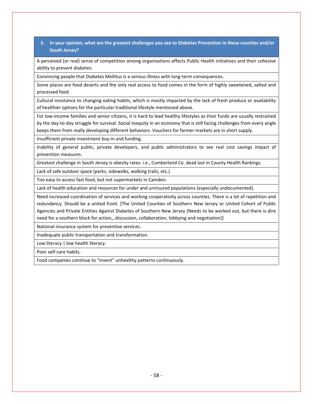#### **5. In your opinion, what are the greatest challenges you see to Diabetes Prevention in these counties and/or South Jersey?**

A perceived (or real) sense of competition among organizations affects Public Health initiatives and their cohesive ability to prevent diabetes.

Convincing people that Diabetes Mellitus is a serious illness with long-term consequences.

Some places are food deserts and the only real access to food comes in the form of highly sweetened, salted and processed food.

Cultural resistance to changing eating habits, which is mostly impacted by the lack of fresh produce or availability of healthier options for the particular traditional lifestyle mentioned above.

For low-income families and senior citizens, it is hard to lead healthy lifestyles as their funds are usually restrained by the day-to-day struggle for survival. Social inequity in an economy that is still facing challenges from every angle keeps them from really developing different behaviors. Vouchers for farmer markets are in short supply.

Insufficient private investment buy-in and funding.

Inability of general public, private developers, and public administrators to see real cost savings impact of prevention measures.

Greatest challenge in South Jersey is obesity rates: i.e., Cumberland Co. dead last in County Health Rankings.

Lack of safe outdoor space (parks, sidewalks, walking trails, etc.)

Too easy to access fast food, but not supermarkets in Camden.

Lack of health education and resources for under and uninsured populations (especially undocumented).

Need increased coordination of services and working cooperativity across counties. There is a lot of repetition and redundancy. Should be a united front. [The United Counties of Southern New Jersey or United Cohort of Public Agencies and Private Entities Against Diabetes of Southern New Jersey (Needs to be worked out, but there is dire need for a southern block for action,, discussion, collaboration, lobbying and negotiation}]

National insurance system for preventive services.

Inadequate public transportation and transformation.

Low literacy | low health literacy.

Poor self-care habits.

Food companies continue to "invent" unhealthy patterns continuously.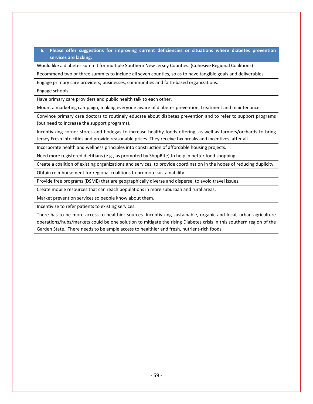**6. Please offer suggestions for improving current deficiencies or situations where diabetes prevention services are lacking.**

Would like a diabetes summit for multiple Southern New Jersey Counties. (Cohesive Regional Coalitions)

Recommend two or three summits to include all seven counties, so as to have tangible goals and deliverables.

Engage primary care providers, businesses, communities and faith-based organizations.

Engage schools.

Have primary care providers and public health talk to each other.

Mount a marketing campaign, making everyone aware of diabetes prevention, treatment and maintenance.

Convince primary care doctors to routinely educate about diabetes prevention and to refer to support programs (but need to increase the support programs).

Incentivizing corner stores and bodegas to increase healthy foods offering, as well as farmers/orchards to bring Jersey Fresh into cities and provide reasonable prices. They receive tax breaks and incentives, after all.

Incorporate health and wellness principles into construction of affordable housing projects.

Need more registered dietitians (e.g., as promoted by ShopRite) to help in better food shopping.

Create a coalition of existing organizations and services, to provide coordination in the hopes of reducing duplicity.

Obtain reimbursement for regional coalitions to promote sustainability.

Provide free programs (DSME) that are geographically diverse and disperse, to avoid travel issues.

Create mobile resources that can reach populations in more suburban and rural areas.

Market prevention services so people know about them.

Incentivize to refer patients to existing services.

There has to be more access to healthier sources. Incentivizing sustainable, organic and local, urban agriculture operations/hubs/markets could be one solution to mitigate the rising Diabetes crisis in this southern region of the Garden State. There needs to be ample access to healthier and fresh, nutrient-rich foods.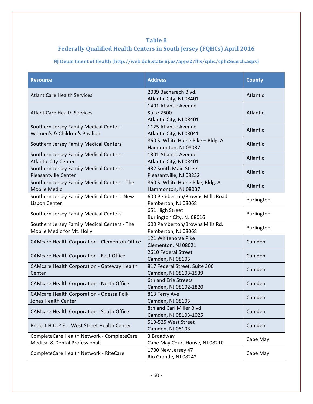#### **Table 8**

# **Federally Qualified Health Centers in South Jersey (FQHCs) April 2016**

**NJ Department of Health (http://web.doh.state.nj.us/apps2/fhs/cphc/cphcSearch.aspx)**

| <b>Resource</b>                                      | <b>Address</b>                                           | <b>County</b> |  |
|------------------------------------------------------|----------------------------------------------------------|---------------|--|
| <b>AtlantiCare Health Services</b>                   | 2009 Bacharach Blvd.                                     | Atlantic      |  |
|                                                      | Atlantic City, NJ 08401                                  |               |  |
|                                                      | 1401 Atlantic Avenue                                     |               |  |
| <b>AtlantiCare Health Services</b>                   | <b>Suite 2600</b>                                        | Atlantic      |  |
|                                                      | Atlantic City, NJ 08401                                  |               |  |
| Southern Jersey Family Medical Center -              | 1125 Atlantic Avenue                                     | Atlantic      |  |
| Women's & Children's Pavilion                        | Atlantic City, NJ 08041                                  |               |  |
| Southern Jersey Family Medical Centers               | 860 S. White Horse Pike - Bldg. A<br>Hammonton, NJ 08037 | Atlantic      |  |
| Southern Jersey Family Medical Centers -             | 1301 Atlantic Avenue                                     |               |  |
| <b>Atlantic City Center</b>                          | Atlantic City, NJ 08401                                  | Atlantic      |  |
| Southern Jersey Family Medical Centers -             | 932 South Main Street                                    |               |  |
| Pleasantville Center                                 | Pleasantville, NJ 08232                                  | Atlantic      |  |
| Southern Jersey Family Medical Centers - The         | 860 S. White Horse Pike, Bldg. A                         |               |  |
| <b>Mobile Medic</b>                                  | Hammonton, NJ 08037                                      | Atlantic      |  |
| Southern Jersey Family Medical Center - New          | 600 Pemberton/Browns Mills Road                          |               |  |
| Lisbon Center                                        | Pemberton, NJ 08068                                      | Burlington    |  |
|                                                      | 651 High Street                                          |               |  |
| Southern Jersey Family Medical Centers               | Burlington City, NJ 08016                                | Burlington    |  |
| Southern Jersey Family Medical Centers - The         | 600 Pemberton/Browns Mills Rd.                           |               |  |
| Mobile Medic for Mt. Holly                           | Pemberton, NJ 08068                                      | Burlington    |  |
|                                                      | 121 Whitehorse Pike                                      | Camden        |  |
| <b>CAMcare Health Corporation - Clementon Office</b> | Clementon, NJ 08021                                      |               |  |
| <b>CAMcare Health Corporation - East Office</b>      | 2610 Federal Street                                      | Camden        |  |
|                                                      | Camden, NJ 08105                                         |               |  |
| <b>CAMcare Health Corporation - Gateway Health</b>   | 817 Federal Street, Suite 300                            | Camden        |  |
| Center                                               | Camden, NJ 08103-1539                                    |               |  |
| CAMcare Health Corporation - North Office            | 6th and Erie Streets                                     | Camden        |  |
|                                                      | Camden, NJ 08102-1820                                    |               |  |
| CAMcare Health Corporation - Odessa Polk             | 813 Ferry Ave                                            | Camden        |  |
| Jones Health Center                                  | Camden, NJ 08105                                         |               |  |
| <b>CAMcare Health Corporation - South Office</b>     | 8th and Carl Miller Blvd                                 | Camden        |  |
|                                                      | Camden, NJ 08103-1025                                    |               |  |
| Project H.O.P.E. - West Street Health Center         | 519-525 West Street                                      | Camden        |  |
|                                                      | Camden, NJ 08103                                         |               |  |
| CompleteCare Health Network - CompleteCare           | 3 Broadway                                               | Cape May      |  |
| <b>Medical &amp; Dental Professionals</b>            | Cape May Court House, NJ 08210                           |               |  |
| CompleteCare Health Network - RiteCare               | 1700 New Jersey 47                                       | Cape May      |  |
|                                                      | Rio Grande, NJ 08242                                     |               |  |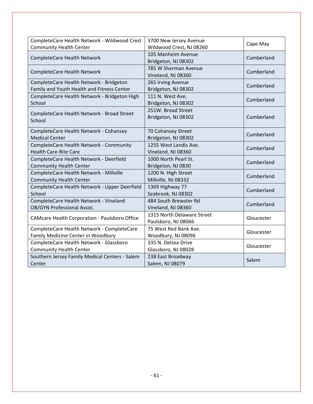| CompleteCare Health Network - Wildwood Crest   | 3700 New Jersey Avenue     | Cape May   |
|------------------------------------------------|----------------------------|------------|
| <b>Community Health Center</b>                 | Wildwood Crest, NJ 08260   |            |
|                                                | 105 Manheim Avenue         | Cumberland |
| CompleteCare Health Network                    | Bridgeton, NJ 08302        |            |
|                                                | 785 W Sherman Avenue       | Cumberland |
| CompleteCare Health Network                    | Vineland, NJ 08360         |            |
| CompleteCare Health Network - Bridgeton        | 265 Irving Avenue          |            |
| Family and Youth Health and Fitness Center     | Bridgeton, NJ 08302        | Cumberland |
| CompleteCare Health Network - Bridgeton High   | 111 N. West Ave.           | Cumberland |
| School                                         | Bridgeton, NJ 08302        |            |
|                                                | 251W. Broad Street         |            |
| CompleteCare Health Network - Broad Street     | Bridgeton, NJ 08302        | Cumberland |
| School                                         |                            |            |
| CompleteCare Health Network - Cohansey         | 70 Cohansey Street         |            |
| <b>Medical Center</b>                          | Bridgeton, NJ 08302        | Cumberland |
| CompleteCare Health Network - Community        | 1255 West Landis Ave.      |            |
| <b>Health Care-Rite Care</b>                   | Vineland, NJ 08360         | Cumberland |
| CompleteCare Health Network - Deerfield        | 1000 North Pearl St.       | Cumberland |
| <b>Community Health Center</b>                 | Bridgeton, NJ 0830         |            |
| CompleteCare Health Network - Millville        | 1200 N. High Street        | Cumberland |
| <b>Community Health Center</b>                 | Millville, NJ 08332        |            |
| CompleteCare Health Network - Upper Deerfield  | 1369 Highway 77            | Cumberland |
| School                                         | Seabrook, NJ 08302         |            |
| CompleteCare Health Network - Vineland         | 484 South Brewster Rd      | Cumberland |
| OB/GYN Professional Assoc.                     | Vineland, NJ 08360         |            |
|                                                | 1315 North Delaware Street | Gloucester |
| CAMcare Health Corporation - Paulsboro Office  | Paulsboro, NJ 08066        |            |
| CompleteCare Health Network - CompleteCare     | 75 West Red Bank Ave.      | Gloucester |
| Family Medicine Center in Woodbury             | Woodbury, NJ 08096         |            |
| CompleteCare Health Network - Glassboro        | 335 N. Delsea Drive        | Gloucester |
| <b>Community Health Center</b>                 | Glassboro, NJ 08028        |            |
| Southern Jersey Family Medical Centers - Salem | 238 East Broadway          | Salem      |
| Center                                         | Salem, NJ 08079            |            |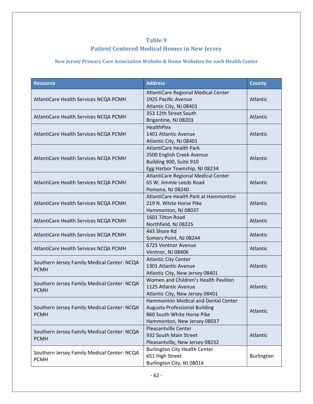# **Table 9 Patient Centered Medical Homes in New Jersey**

#### **New Jersey Primary Care Association Website & Home Websites for each Health Center**

| <b>Address</b><br><b>County</b><br><b>Resource</b>                                                             |  |
|----------------------------------------------------------------------------------------------------------------|--|
| AtlantiCare Regional Medical Center                                                                            |  |
| 1925 Pacific Avenue<br>Atlantic<br>AtlantiCare Health Services NCQA PCMH                                       |  |
| Atlantic City, NJ 08401                                                                                        |  |
| 353 12th Street South<br>AtlantiCare Health Services NCQA PCMH<br>Atlantic                                     |  |
| Brigantine, NJ 08203                                                                                           |  |
| <b>HealthPlex</b>                                                                                              |  |
| Atlantic<br>AtlantiCare Health Services NCQA PCMH<br>1401 Atlantic Avenue                                      |  |
| Atlantic City, NJ 08401                                                                                        |  |
| <b>AtlantiCare Health Park</b>                                                                                 |  |
| 2500 English Creek Avenue<br>Atlantic<br>AtlantiCare Health Services NCQA PCMH                                 |  |
| Building 900, Suite 910                                                                                        |  |
| Egg Harbor Township, NJ 08234                                                                                  |  |
| AtlantiCare Regional Medical Center<br>65 W. Jimmie Leeds Road                                                 |  |
| Atlantic<br>AtlantiCare Health Services NCQA PCMH                                                              |  |
| Pomona, NJ 08240                                                                                               |  |
| AtlantiCare Health Park at Hammonton                                                                           |  |
| 219 N. White Horse Pike<br>Atlantic<br>AtlantiCare Health Services NCQA PCMH                                   |  |
| Hammonton, NJ 08037                                                                                            |  |
| 1601 Tilton Road<br>AtlantiCare Health Services NCQA PCMH<br>Atlantic                                          |  |
| Northfield, NJ 08225<br>443 Shore Rd                                                                           |  |
| Atlantic<br>AtlantiCare Health Services NCQA PCMH<br>Somers Point, NJ 08244                                    |  |
| 6725 Ventnor Avenue                                                                                            |  |
| Atlantic<br>AtlantiCare Health Services NCQA PCMH<br>Ventnor, NJ 08406                                         |  |
|                                                                                                                |  |
| <b>Atlantic City Center</b><br>Southern Jersey Family Medical Center: NCQA<br>1301 Atlantic Avenue<br>Atlantic |  |
| <b>PCMH</b><br>Atlantic City, New Jersey 08401                                                                 |  |
| Women and Children's Health Pavilion                                                                           |  |
| Southern Jersey Family Medical Center: NCQA<br>Atlantic<br>1125 Atlantic Avenue                                |  |
| <b>PCMH</b><br>Atlantic City, New Jersey 08401                                                                 |  |
| <b>Hammonton Medical and Dental Center</b>                                                                     |  |
| Southern Jersey Family Medical Center: NCQA<br><b>Augusta Professional Building</b>                            |  |
| Atlantic<br><b>PCMH</b><br>860 South White Horse Pike                                                          |  |
| Hammonton, New Jersey 08037                                                                                    |  |
| Pleasantville Center                                                                                           |  |
| Southern Jersey Family Medical Center: NCQA<br>932 South Main Street<br>Atlantic                               |  |
| <b>PCMH</b><br>Pleasantville, New Jersey 08232                                                                 |  |
| <b>Burlington City Health Center</b>                                                                           |  |
| Southern Jersey Family Medical Center: NCQA<br>651 High Street<br>Burlington                                   |  |
| <b>PCMH</b><br>Burlington City, NJ 08016                                                                       |  |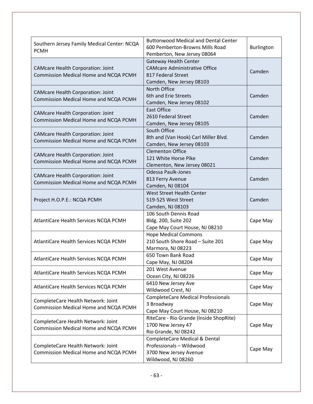| Southern Jersey Family Medical Center: NCQA<br><b>PCMH</b>                               | <b>Buttonwood Medical and Dental Center</b><br>600 Pemberton-Browns Mills Road<br>Pemberton, New Jersey 08064          | Burlington |
|------------------------------------------------------------------------------------------|------------------------------------------------------------------------------------------------------------------------|------------|
| <b>CAMcare Health Corporation: Joint</b><br>Commission Medical Home and NCQA PCMH        | <b>Gateway Health Center</b><br><b>CAMcare Administrative Office</b><br>817 Federal Street<br>Camden, New Jersey 08103 | Camden     |
| <b>CAMcare Health Corporation: Joint</b><br>Commission Medical Home and NCQA PCMH        | North Office<br>6th and Erie Streets<br>Camden, New Jersey 08102                                                       | Camden     |
| <b>CAMcare Health Corporation: Joint</b><br>Commission Medical Home and NCQA PCMH        | <b>East Office</b><br>2610 Federal Street<br>Camden, New Jersey 08105                                                  | Camden     |
| <b>CAMcare Health Corporation: Joint</b><br>Commission Medical Home and NCQA PCMH        | South Office<br>8th and (Van Hook) Carl Miller Blvd.<br>Camden, New Jersey 08103                                       | Camden     |
| <b>CAMcare Health Corporation: Joint</b><br><b>Commission Medical Home and NCQA PCMH</b> | <b>Clementon Office</b><br>121 White Horse Pike<br>Clementon, New Jersey 08021                                         | Camden     |
| <b>CAMcare Health Corporation: Joint</b><br><b>Commission Medical Home and NCQA PCMH</b> | <b>Odessa Paulk-Jones</b><br>813 Ferry Avenue<br>Camden, NJ 08104                                                      | Camden     |
| Project H.O.P.E.: NCQA PCMH                                                              | <b>West Street Health Center</b><br>519-525 West Street<br>Camden, NJ 08103                                            | Camden     |
| AtlantiCare Health Services NCQA PCMH                                                    | 106 South Dennis Road<br>Bldg. 200, Suite 202<br>Cape May Court House, NJ 08210                                        | Cape May   |
| AtlantiCare Health Services NCQA PCMH                                                    | <b>Hope Medical Commons</b><br>210 South Shore Road - Suite 201<br>Marmora, NJ 08223                                   | Cape May   |
| AtlantiCare Health Services NCQA PCMH                                                    | 650 Town Bank Road<br>Cape May, NJ 08204                                                                               | Cape May   |
| AtlantiCare Health Services NCQA PCMH                                                    | 201 West Avenue<br>Ocean City, NJ 08226                                                                                | Cape May   |
| AtlantiCare Health Services NCQA PCMH                                                    | 6410 New Jersey Ave<br>Wildwood Crest, NJ                                                                              | Cape May   |
| CompleteCare Health Network: Joint<br>Commission Medical Home and NCQA PCMH              | <b>CompleteCare Medical Professionals</b><br>3 Broadway<br>Cape May Court House, NJ 08210                              | Cape May   |
| CompleteCare Health Network: Joint<br>Commission Medical Home and NCQA PCMH              | RiteCare - Rio Grande (Inside ShopRite)<br>1700 New Jersey 47<br>Rio Grande, NJ 08242                                  | Cape May   |
| CompleteCare Health Network: Joint<br>Commission Medical Home and NCQA PCMH              | CompleteCare Medical & Dental<br>Professionals - Wildwood<br>3700 New Jersey Avenue<br>Wildwood, NJ 08260              | Cape May   |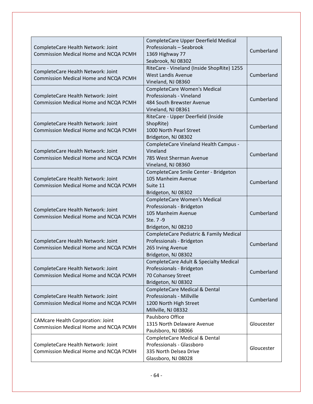| CompleteCare Health Network: Joint<br>Commission Medical Home and NCQA PCMH        | CompleteCare Upper Deerfield Medical<br>Professionals - Seabrook<br>1369 Highway 77<br>Seabrook, NJ 08302                 | Cumberland |
|------------------------------------------------------------------------------------|---------------------------------------------------------------------------------------------------------------------------|------------|
| CompleteCare Health Network: Joint<br><b>Commission Medical Home and NCQA PCMH</b> | RiteCare - Vineland (Inside ShopRite) 1255<br><b>West Landis Avenue</b><br>Vineland, NJ 08360                             | Cumberland |
| CompleteCare Health Network: Joint<br>Commission Medical Home and NCQA PCMH        | CompleteCare Women's Medical<br>Professionals - Vineland<br>484 South Brewster Avenue<br>Vineland, NJ 08361               | Cumberland |
| CompleteCare Health Network: Joint<br>Commission Medical Home and NCQA PCMH        | RiteCare - Upper Deerfield (Inside<br>ShopRite)<br>1000 North Pearl Street<br>Bridgeton, NJ 08302                         | Cumberland |
| CompleteCare Health Network: Joint<br><b>Commission Medical Home and NCQA PCMH</b> | CompleteCare Vineland Health Campus -<br>Vineland<br>785 West Sherman Avenue<br>Vineland, NJ 08360                        | Cumberland |
| CompleteCare Health Network: Joint<br>Commission Medical Home and NCQA PCMH        | CompleteCare Smile Center - Bridgeton<br>105 Manheim Avenue<br>Suite 11<br>Bridgeton, NJ 08302                            | Cumberland |
| CompleteCare Health Network: Joint<br>Commission Medical Home and NCQA PCMH        | <b>CompleteCare Women's Medical</b><br>Professionals - Bridgeton<br>105 Manheim Avenue<br>Ste. 7-9<br>Bridgeton, NJ 08210 | Cumberland |
| CompleteCare Health Network: Joint<br>Commission Medical Home and NCQA PCMH        | CompleteCare Pediatric & Family Medical<br>Professionals - Bridgeton<br>265 Irving Avenue<br>Bridgeton, NJ 08302          | Cumberland |
| CompleteCare Health Network: Joint<br>Commission Medical Home and NCQA PCMH        | CompleteCare Adult & Specialty Medical<br>Professionals - Bridgeton<br>70 Cohansey Street<br>Bridgeton, NJ 08302          | Cumberland |
| CompleteCare Health Network: Joint<br>Commission Medical Home and NCQA PCMH        | CompleteCare Medical & Dental<br>Professionals - Millville<br>1200 North High Street<br>Millville, NJ 08332               | Cumberland |
| <b>CAMcare Health Corporation: Joint</b><br>Commission Medical Home and NCQA PCMH  | Paulsboro Office<br>1315 North Delaware Avenue<br>Paulsboro, NJ 08066                                                     | Gloucester |
| CompleteCare Health Network: Joint<br>Commission Medical Home and NCQA PCMH        | CompleteCare Medical & Dental<br>Professionals - Glassboro<br>335 North Delsea Drive<br>Glassboro, NJ 08028               | Gloucester |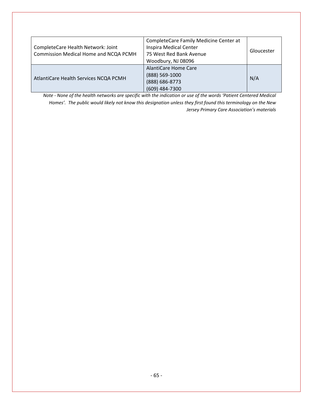| CompleteCare Health Network: Joint<br>Commission Medical Home and NCQA PCMH | CompleteCare Family Medicine Center at<br>Inspira Medical Center<br>75 West Red Bank Avenue<br>Woodbury, NJ 08096 | Gloucester |
|-----------------------------------------------------------------------------|-------------------------------------------------------------------------------------------------------------------|------------|
| AtlantiCare Health Services NCQA PCMH                                       | <b>AlantiCare Home Care</b><br>(888) 569-1000<br>(888) 686-8773<br>(609) 484-7300                                 | N/A        |

*Note - None of the health networks are specific with the indication or use of the words 'Patient Centered Medical Homes'. The public would likely not know this designation unless they first found this terminology on the New Jersey Primary Care Association's materials*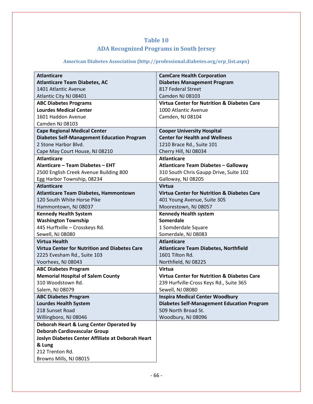# **Table 10 ADA Recognized Programs in South Jersey**

# **American Diabetes Association (http://professional.diabetes.org/erp\_list.aspx)**

| <b>Atlanticare</b>                                   | <b>CamCare Health Corporation</b>                      |
|------------------------------------------------------|--------------------------------------------------------|
| <b>Atlanticare Team Diabetes, AC</b>                 | <b>Diabetes Management Program</b>                     |
| 1401 Atlantic Avenue                                 | 817 Federal Street                                     |
| Atlantic City NJ 08401                               | Camden NJ 08103                                        |
| <b>ABC Diabetes Programs</b>                         | <b>Virtua Center for Nutrition &amp; Diabetes Care</b> |
| <b>Lourdes Medical Center</b>                        | 1000 Atlantic Avenue                                   |
| 1601 Haddon Avenue                                   | Camden, NJ 08104                                       |
| Camden NJ 08103                                      |                                                        |
| <b>Cape Regional Medical Center</b>                  | <b>Cooper University Hospital</b>                      |
| <b>Diabetes Self-Management Education Program</b>    | <b>Center for Health and Wellness</b>                  |
| 2 Stone Harbor Blvd.                                 | 1210 Brace Rd., Suite 101                              |
| Cape May Court House, NJ 08210                       | Cherry Hill, NJ 08034                                  |
| <b>Atlanticare</b>                                   | <b>Atlanticare</b>                                     |
| Alanticare - Team Diabetes - EHT                     | <b>Atlanticare Team Diabetes - Galloway</b>            |
| 2500 English Creek Avenue Building 800               | 310 South Chris Gaupp Drive, Suite 102                 |
| Egg Harbor Township, 08234                           | Galloway, NJ 08205                                     |
| <b>Atlanticare</b>                                   | <b>Virtua</b>                                          |
| <b>Atlanticare Team Diabetes, Hammontown</b>         | <b>Virtua Center for Nutrition &amp; Diabetes Care</b> |
| 120 South White Horse Pike                           | 401 Young Avenue, Suite 305                            |
| Hammontown, NJ 08037                                 | Moorestown, NJ 08057                                   |
| <b>Kennedy Health System</b>                         | <b>Kennedy Health system</b>                           |
| <b>Washington Township</b>                           | Somerdale                                              |
| 445 Hurftville - Crosskeys Rd.                       | 1 Somderdale Square                                    |
| Sewell, NJ 08080                                     | Somerdale, NJ 08083                                    |
| <b>Virtua Health</b>                                 | <b>Atlanticare</b>                                     |
| <b>Virtua Center for Nutrition and Diabetes Care</b> | <b>Atlanticare Team Diabetes, Northfield</b>           |
| 2225 Evesham Rd., Suite 103                          | 1601 Tilton Rd.                                        |
| Voorhees, NJ 08043                                   | Northfield, NJ 08225                                   |
| <b>ABC Diabetes Program</b>                          | Virtua                                                 |
| <b>Memorial Hospital of Salem County</b>             | <b>Virtua Center for Nutrition &amp; Diabetes Care</b> |
| 310 Woodstown Rd.                                    | 239 Hurfville-Cross Keys Rd., Suite 365                |
| Salem, NJ 08079                                      | Sewell, NJ 08080                                       |
| <b>ABC Diabetes Program</b>                          | <b>Inspira Medical Center Woodbury</b>                 |
| <b>Lourdes Health System</b>                         | <b>Diabetes Self-Management Education Program</b>      |
| 218 Sunset Road                                      | 509 North Broad St.                                    |
| Willingboro, NJ 08046                                | Woodbury, NJ 08096                                     |
| Deborah Heart & Lung Center Operated by              |                                                        |
| <b>Deborah Cardiovascular Group</b>                  |                                                        |
| Joslyn Diabetes Center Affiliate at Deborah Heart    |                                                        |
| & Lung                                               |                                                        |
| 212 Trenton Rd.                                      |                                                        |
| Browns Mills, NJ 08015                               |                                                        |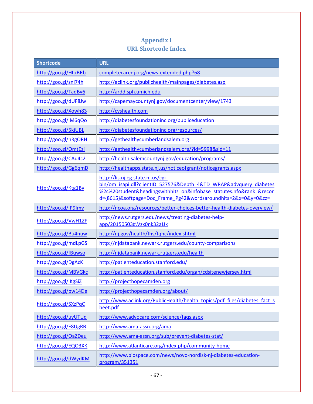# **Appendix I URL Shortcode Index**

| <b>Shortcode</b>     | <b>URL</b>                                                                                                                                                                                                                                       |
|----------------------|--------------------------------------------------------------------------------------------------------------------------------------------------------------------------------------------------------------------------------------------------|
| http://goo.gl/HLxBRb | completecarenj.org/news-extended.php?68                                                                                                                                                                                                          |
| http://goo.gl/sni74h | http://aclink.org/publichealth/mainpages/diabetes.asp                                                                                                                                                                                            |
| http://goo.gl/TaqBv6 | http://ardd.sph.umich.edu                                                                                                                                                                                                                        |
| http://goo.gl/dUF8Jw | http://capemaycountynj.gov/documentcenter/view/1743                                                                                                                                                                                              |
| http://goo.gl/Xowh83 | http://cvshealth.com                                                                                                                                                                                                                             |
| http://goo.g /iM6qQo | http://diabetesfoundationinc.org/publiceducation                                                                                                                                                                                                 |
| http://goo.gl/5kjUBL | http://diabetesfoundationinc.org/resources/                                                                                                                                                                                                      |
| http://goo.gl/hRgORH | http://gethealthycumberlandsalem.org                                                                                                                                                                                                             |
| http://goo.gl/OmtEzj | http://gethealthycumberlandsalem.org/?id=5998&sid=11                                                                                                                                                                                             |
| http://goo.gl/CAu4c2 | http://health.salemcountynj.gov/education/programs/                                                                                                                                                                                              |
| http://goo.gl/Gg6qmD | http://healthapps.state.nj.us/noticeofgrant/noticegrants.aspx                                                                                                                                                                                    |
| http://goo.gl/Ktg1By | http://lis.njleg.state.nj.us/cgi-<br>bin/om isapi.dll?clientID=527576&Depth=4&TD=WRAP&advquery=diabetes<br>%2c%20student&headingswithhits=on&infobase=statutes.nfo&rank=&recor<br>d={8615}&softpage=Doc Frame Pg42&wordsaroundhits=2&x=0&y=0&zz= |
| http://goo.gl/jP9Imv | http://ncoa.org/resources/better-choices-better-health-diabetes-overview/                                                                                                                                                                        |
| http://goo.gl/VwH1ZF | http://news.rutgers.edu/news/treating-diabetes-help-<br>app/20150503#.Vzx0nk32aUk                                                                                                                                                                |
| http://goo.gl/Bu4nuw | http://nj.gov/health/fhs/fqhc/index.shtml                                                                                                                                                                                                        |
| http://goo.gl/mdLpGS | http://njdatabank.newark.rutgers.edu/county-comparisons                                                                                                                                                                                          |
| http://goo.gl/fBuwso | http://njdatabank.newark.rutgers.edu/health                                                                                                                                                                                                      |
| http://goo.gl/DgAcK  | http://patienteducation.stanford.edu/                                                                                                                                                                                                            |
| http://goo.gl/MBVGkc | http://patienteducation.stanford.edu/organ/cdsitenewjersey.html                                                                                                                                                                                  |
| http://goo.gl/iKgSiZ | http://projecthopecamden.org                                                                                                                                                                                                                     |
| http://goo.gl/pw14De | http://projecthopecamden.org/about/                                                                                                                                                                                                              |
| http://goo.gl/SXzPqC | http://www.aclink.org/PublicHealth/health_topics/pdf_files/diabetes_fact_s<br>heet.pdf                                                                                                                                                           |
| http://goo.gl/uyUTUd | http://www.advocare.com/science/faqs.aspx                                                                                                                                                                                                        |
| http://goo.gl/F8UgRB | http://www.ama-assn.org/ama                                                                                                                                                                                                                      |
| http://goo.gl/OaZDeu | http://www.ama-assn.org/sub/prevent-diabetes-stat/                                                                                                                                                                                               |
| http://goo.gl/EQO3XK | http://www.atlanticare.org/index.php/community-home                                                                                                                                                                                              |
| http://goo.gl/dWydKM | http://www.biospace.com/news/novo-nordisk-nj-diabetes-education-<br>program/351351                                                                                                                                                               |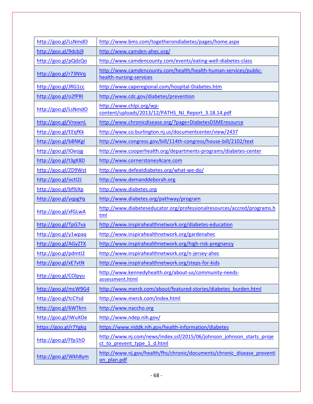| http://goo.gl/LsNmdO  | http://www.bms.com/togetherondiabetes/pages/home.aspx                                                |
|-----------------------|------------------------------------------------------------------------------------------------------|
| http://goo.gl/9dcbj9  | http://www.camden-ahec.org/                                                                          |
| http://goo.gl/pQdzQo  | http://www.camdencounty.com/events/eating-well-diabetes-class                                        |
| http://goo.gl/r73NVq  | http://www.camdencounty.com/health/health-human-services/public-<br>health-nursing-services          |
| http://goo.gl/JRG1cc  | http://www.caperegional.com/hospital-Diabetes.htm                                                    |
| http://goo.gl/o2fPRI  | http://www.cdc.gov/diabetes/prevention                                                               |
| http://goo.gl/LsNmdO  | http://www.chlpi.org/wp-<br>content/uploads/2013/12/PATHS NJ Report 3.18.14.pdf                      |
| http://goo.gl/VnxwnL  | http://www.chronicdisease.org/?page=DiabetesDSMEresource                                             |
| http://goo.gl/EEqfKk  | http://www.co.burlington.nj.us/documentcenter/view/2437                                              |
| http://goo.gl/bBNKgl  | http://www.congress.gov/bill/114th-congress/house-bill/2102/text                                     |
| http://goo.gl/IOeojg  | http://www.cooperhealth.org/departments-programs/diabetes-center                                     |
| http://goo.gl/t3gK8D  | http://www.cornerstones4care.com                                                                     |
| http://goo.gl/ZD9Wst  | http://www.defeatdiabetes.org/what-we-do/                                                            |
| http://goo.gl/octl2J  | http://www.demanddeborah.org                                                                         |
| http://goo.gl/bf9JXp  | http://www.diabetes.org                                                                              |
| http://goo.gl/yqpgYq  | http://www.diabetes.org/pathway/program                                                              |
| http://goo.gl/xfGLwA  | http://www.diabeteseducator.org/professionalresources/accred/programs.h<br>tml                       |
| http://goo.gl/TpG7va  | http://www.inspirahealthnetwork.org/diabetes-education                                               |
| http://goo.gl/y1wpaq  | http://www.inspirahealthnetwork.org/gardenahec                                                       |
| http://goo.gl/AGyZTX  | http://www.inspirahealthnetwork.org/high-risk-pregnancy                                              |
| http://goo.gl/pdmtl2  | http://www.inspirahealthnetwork.org/n-jersey-ahec                                                    |
| http://goo.gl/xE7vtN  | http://www.inspirahealthnetwork.org/steps-for-kids                                                   |
| http://goo.gl/COlpyu  | http://www.kennedyhealth.org/about-us/community-needs-<br>assessment.html                            |
| http://goo.gl/mcW9G4  | http://www.merck.com/about/featured-stories/diabetes_burden.html                                     |
| http://goo.gl/tcCYsd  | http://www.merck.com/index.html                                                                      |
| http://goo.gl/6WTkrn  | http://www.naccho.org                                                                                |
| http://goo.gl/IWuXOe  | http://www.ndep.nih.gov/                                                                             |
| https://goo.gl/r7Ygkq | https://www.niddk.nih.gov/health-information/diabetes                                                |
| http://goo.gl/Ffp1hD  | http://www.nj.com/news/index.ssf/2015/06/johnson johnson starts proje<br>ct to prevent type 1 d.html |
| http://goo.gl/Wkh8ym  | http://www.nj.gov/health/fhs/chronic/documents/chronic disease preventi<br>on plan.pdf               |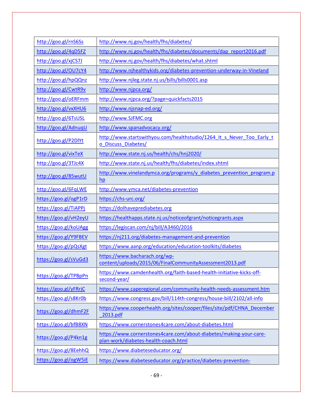| http://goo.gl/rnS6Ss  | http://www.nj.gov/health/fhs/diabetes/                                                                     |
|-----------------------|------------------------------------------------------------------------------------------------------------|
| http://goo.gl/4qD5FZ  | http://www.nj.gov/health/fhs/diabetes/documents/dap_report2016.pdf                                         |
| http://goo.gl/xjCS7J  | http://www.nj.gov/health/fhs/diabetes/what.shtml                                                           |
| http://goo.gl/OU7cY4  | http://www.njhealthykids.org/diabetes-prevention-underway-in-Vineland                                      |
| http://goo.gl/hpQQnz  | http://www.njleg.state.nj.us/bills/bills0001.asp                                                           |
| http://goo.gl/CwtR9v  | http://www.njpca.org/                                                                                      |
| http://goo.gl/oERFmm  | http://www.njpca.org/?page=quickfacts2015                                                                  |
| http://goo.gl/vxXHU6  | http://www.njsnap-ed.org/                                                                                  |
| http://goo.gl/6TsUSL  | http://www.SJFMC.org                                                                                       |
| http://goo.gl/AdnuqU  | http://www.spanadvocacy.org/                                                                               |
| http://goo.gl/P2DIYt  | http://www.startswithyou.com/healthstudio/1264 It s Never Too Early t<br>o Discuss Diabetes/               |
| http://goo.gl/vixTeX  | http://www.state.nj.us/health/chs/hnj2020/                                                                 |
| http://goo.gl/3TJc4X  | http://www.state.nj.us/health/fhs/diabetes/index.shtml                                                     |
| http://goo.gl/85wutU  | http://www.vinelandymca.org/programs/y diabetes prevention program.p<br>hp                                 |
| http://goo.gl/6FqLWE  | http://www.ymca.net/diabetes-prevention                                                                    |
| https://goo.gl/ogP1rD | https://chs-urc.org/                                                                                       |
| https://goo.gl/TiAPPj | https://dolhaveprediabetes.org                                                                             |
| https://goo.gl/vH2eyU | https://healthapps.state.nj.us/noticeofgrant/noticegrants.aspx                                             |
| https://goo.gl/koUAgg | https://legiscan.com/nj/bill/A3460/2016                                                                    |
| https://goo.gl/Y9FBEV | https://nj211.org/diabetes-management-and-prevention                                                       |
| https://goo.gl/pQsXgt | https://www.aanp.org/education/education-toolkits/diabetes                                                 |
| https://goo.gl/sVuGd3 | https://www.bacharach.org/wp-<br>content/uploads/2015/06/FinalCommunityAssessment2013.pdf                  |
| https://goo.gl/TPBpPn | https://www.camdenhealth.org/faith-based-health-initiative-kicks-off-<br>second-year/                      |
| https://goo.gl/yFRrjC | https://www.caperegional.com/community-health-needs-assessment.htm                                         |
| https://goo.gl/s8Kr0b | https://www.congress.gov/bill/114th-congress/house-bill/2102/all-info                                      |
| https://goo.gl/dhmF2F | https://www.cooperhealth.org/sites/cooper/files/site/pdf/CHNA_December<br>2013.pdf                         |
| https://goo.gl/bfB8XN | https://www.cornerstones4care.com/about-diabetes.html                                                      |
| https://goo.gl/P4kn1g | https://www.cornerstones4care.com/about-diabetes/making-your-care-<br>plan-work/diabetes-health-coach.html |
| https://goo.gl/8EehhQ | https://www.diabeteseducator.org/                                                                          |
| https://goo.gl/ogW5iE | https://www.diabeteseducator.org/practice/diabetes-prevention-                                             |